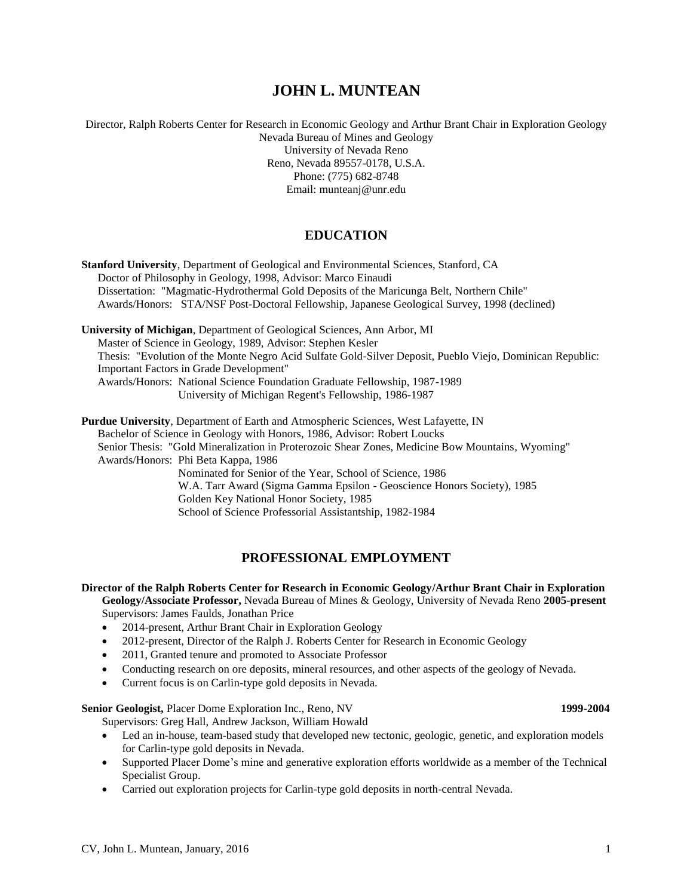# **JOHN L. MUNTEAN**

Director, Ralph Roberts Center for Research in Economic Geology and Arthur Brant Chair in Exploration Geology Nevada Bureau of Mines and Geology University of Nevada Reno Reno, Nevada 89557-0178, U.S.A. Phone: (775) 682-8748 Email: munteanj@unr.edu

# **EDUCATION**

**Stanford University**, Department of Geological and Environmental Sciences, Stanford, CA Doctor of Philosophy in Geology, 1998, Advisor: Marco Einaudi Dissertation: "Magmatic-Hydrothermal Gold Deposits of the Maricunga Belt, Northern Chile" Awards/Honors: STA/NSF Post-Doctoral Fellowship, Japanese Geological Survey, 1998 (declined) **University of Michigan**, Department of Geological Sciences, Ann Arbor, MI Master of Science in Geology, 1989, Advisor: Stephen Kesler Thesis: "Evolution of the Monte Negro Acid Sulfate Gold-Silver Deposit, Pueblo Viejo, Dominican Republic: Important Factors in Grade Development" Awards/Honors: National Science Foundation Graduate Fellowship, 1987-1989 University of Michigan Regent's Fellowship, 1986-1987 **Purdue University**, Department of Earth and Atmospheric Sciences, West Lafayette, IN Bachelor of Science in Geology with Honors, 1986, Advisor: Robert Loucks Senior Thesis: "Gold Mineralization in Proterozoic Shear Zones, Medicine Bow Mountains, Wyoming" Awards/Honors: Phi Beta Kappa, 1986 Nominated for Senior of the Year, School of Science, 1986 W.A. Tarr Award (Sigma Gamma Epsilon - Geoscience Honors Society), 1985 Golden Key National Honor Society, 1985

School of Science Professorial Assistantship, 1982-1984

# **PROFESSIONAL EMPLOYMENT**

**Director of the Ralph Roberts Center for Research in Economic Geology/Arthur Brant Chair in Exploration Geology/Associate Professor,** Nevada Bureau of Mines & Geology, University of Nevada Reno **2005-present** Supervisors: James Faulds, Jonathan Price

- 2014-present, Arthur Brant Chair in Exploration Geology
- 2012-present, Director of the Ralph J. Roberts Center for Research in Economic Geology
- 2011, Granted tenure and promoted to Associate Professor
- Conducting research on ore deposits, mineral resources, and other aspects of the geology of Nevada.
- Current focus is on Carlin-type gold deposits in Nevada.

**Senior Geologist,** Placer Dome Exploration Inc., Reno, NV **1999-2004** Supervisors: Greg Hall, Andrew Jackson, William Howald

- Led an in-house, team-based study that developed new tectonic, geologic, genetic, and exploration models for Carlin-type gold deposits in Nevada.
- Supported Placer Dome's mine and generative exploration efforts worldwide as a member of the Technical Specialist Group.
- Carried out exploration projects for Carlin-type gold deposits in north-central Nevada.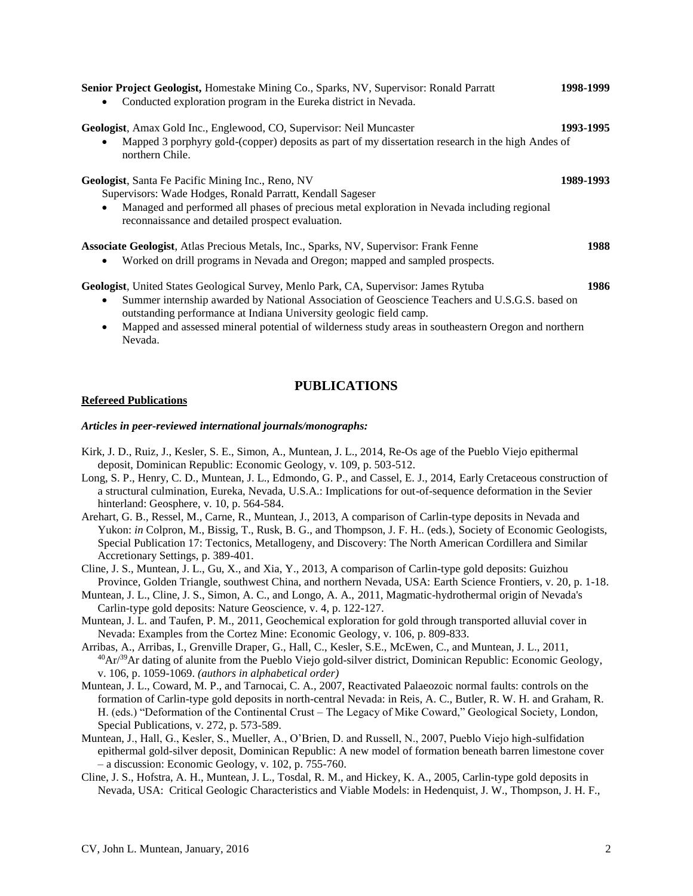| Senior Project Geologist, Homestake Mining Co., Sparks, NV, Supervisor: Ronald Parratt<br>Conducted exploration program in the Eureka district in Nevada.<br>٠                                 | 1998-1999 |
|------------------------------------------------------------------------------------------------------------------------------------------------------------------------------------------------|-----------|
| <b>Geologist</b> , Amax Gold Inc., Englewood, CO, Supervisor: Neil Muncaster<br>Mapped 3 porphyry gold-(copper) deposits as part of my dissertation research in the high Andes of<br>$\bullet$ | 1993-1995 |
| northern Chile.                                                                                                                                                                                |           |
| <b>Geologist</b> , Santa Fe Pacific Mining Inc., Reno, NV                                                                                                                                      | 1989-1993 |
| Supervisors: Wade Hodges, Ronald Parratt, Kendall Sageser                                                                                                                                      |           |
| Managed and performed all phases of precious metal exploration in Nevada including regional<br>$\bullet$<br>reconnaissance and detailed prospect evaluation.                                   |           |
| Associate Geologist, Atlas Precious Metals, Inc., Sparks, NV, Supervisor: Frank Fenne                                                                                                          | 1988      |
| Worked on drill programs in Nevada and Oregon; mapped and sampled prospects.                                                                                                                   |           |
| <b>Geologist</b> , United States Geological Survey, Menlo Park, CA, Supervisor: James Rytuba                                                                                                   | 1986      |
| Summer internship awarded by National Association of Geoscience Teachers and U.S.G.S. based on<br>$\bullet$<br>outstanding performance at Indiana University geologic field camp.              |           |
| Mapped and assessed mineral potential of wilderness study areas in southeastern Oregon and northern<br>$\bullet$<br>Nevada.                                                                    |           |

# **PUBLICATIONS**

#### **Refereed Publications**

#### *Articles in peer-reviewed international journals/monographs:*

- Kirk, J. D., Ruiz, J., Kesler, S. E., Simon, A., Muntean, J. L., 2014, Re-Os age of the Pueblo Viejo epithermal deposit, Dominican Republic: Economic Geology, v. 109, p. 503-512.
- Long, S. P., Henry, C. D., Muntean, J. L., Edmondo, G. P., and Cassel, E. J., 2014, Early Cretaceous construction of a structural culmination, Eureka, Nevada, U.S.A.: Implications for out-of-sequence deformation in the Sevier hinterland: Geosphere, v. 10, p. 564-584.
- Arehart, G. B., Ressel, M., Carne, R., Muntean, J., 2013, A comparison of Carlin-type deposits in Nevada and Yukon: *in* Colpron, M., Bissig, T., Rusk, B. G., and Thompson, J. F. H.. (eds.), Society of Economic Geologists, Special Publication 17: Tectonics, Metallogeny, and Discovery: The North American Cordillera and Similar Accretionary Settings, p. 389-401.
- Cline, J. S., Muntean, J. L., Gu, X., and Xia, Y., 2013, A comparison of Carlin-type gold deposits: Guizhou Province, Golden Triangle, southwest China, and northern Nevada, USA: Earth Science Frontiers, v. 20, p. 1-18.
- Muntean, J. L., Cline, J. S., Simon, A. C., and Longo, A. A., 2011, Magmatic-hydrothermal origin of Nevada's Carlin-type gold deposits: Nature Geoscience, v. 4, p. 122-127.
- Muntean, J. L. and Taufen, P. M., 2011, Geochemical exploration for gold through transported alluvial cover in Nevada: Examples from the Cortez Mine: Economic Geology, v. 106, p. 809-833.
- Arribas, A., Arribas, I., Grenville Draper, G., Hall, C., Kesler, S.E., McEwen, C., and Muntean, J. L., 2011,  $^{40}Ar^{39}Ar$  dating of alunite from the Pueblo Viejo gold-silver district, Dominican Republic: Economic Geology, v. 106, p. 1059-1069. *(authors in alphabetical order)*
- Muntean, J. L., Coward, M. P., and Tarnocai, C. A., 2007, Reactivated Palaeozoic normal faults: controls on the formation of Carlin-type gold deposits in north-central Nevada: in Reis, A. C., Butler, R. W. H. and Graham, R. H. (eds.) "Deformation of the Continental Crust – The Legacy of Mike Coward," Geological Society, London, Special Publications, v. 272, p. 573-589.
- Muntean, J., Hall, G., Kesler, S., Mueller, A., O'Brien, D. and Russell, N., 2007, Pueblo Viejo high-sulfidation epithermal gold-silver deposit, Dominican Republic: A new model of formation beneath barren limestone cover – a discussion: Economic Geology, v. 102, p. 755-760.
- Cline, J. S., Hofstra, A. H., Muntean, J. L., Tosdal, R. M., and Hickey, K. A., 2005, Carlin-type gold deposits in Nevada, USA: Critical Geologic Characteristics and Viable Models: in Hedenquist, J. W., Thompson, J. H. F.,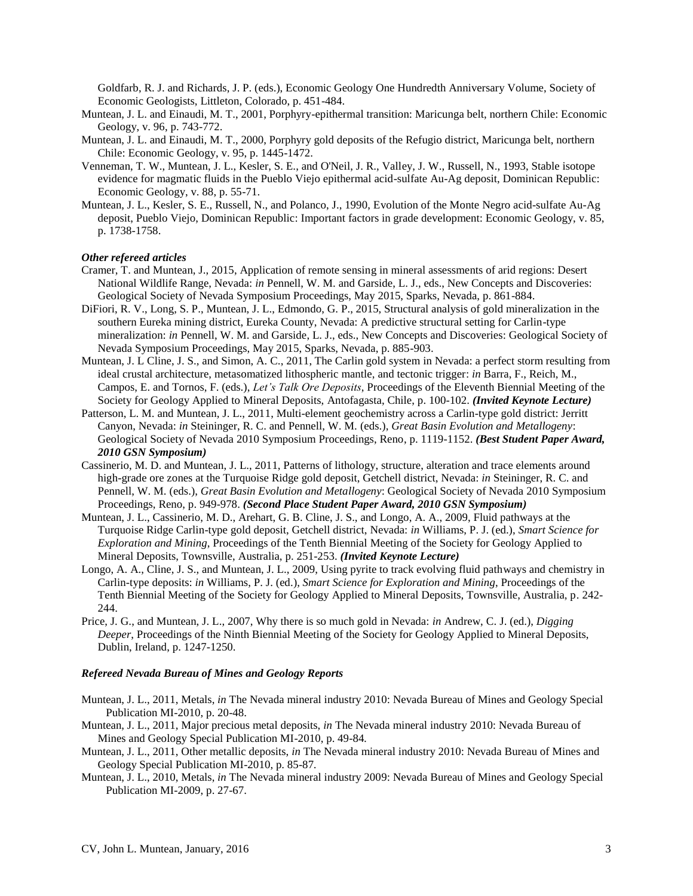Goldfarb, R. J. and Richards, J. P. (eds.), Economic Geology One Hundredth Anniversary Volume, Society of Economic Geologists, Littleton, Colorado, p. 451-484.

- Muntean, J. L. and Einaudi, M. T., 2001, Porphyry-epithermal transition: Maricunga belt, northern Chile: Economic Geology, v. 96, p. 743-772.
- Muntean, J. L. and Einaudi, M. T., 2000, Porphyry gold deposits of the Refugio district, Maricunga belt, northern Chile: Economic Geology, v. 95, p. 1445-1472.
- Venneman, T. W., Muntean, J. L., Kesler, S. E., and O'Neil, J. R., Valley, J. W., Russell, N., 1993, Stable isotope evidence for magmatic fluids in the Pueblo Viejo epithermal acid-sulfate Au-Ag deposit, Dominican Republic: Economic Geology, v. 88, p. 55-71.
- Muntean, J. L., Kesler, S. E., Russell, N., and Polanco, J., 1990, Evolution of the Monte Negro acid-sulfate Au-Ag deposit, Pueblo Viejo, Dominican Republic: Important factors in grade development: Economic Geology, v. 85, p. 1738-1758.

## *Other refereed articles*

- Cramer, T. and Muntean, J., 2015, Application of remote sensing in mineral assessments of arid regions: Desert National Wildlife Range, Nevada: *in* Pennell, W. M. and Garside, L. J., eds., New Concepts and Discoveries: Geological Society of Nevada Symposium Proceedings, May 2015, Sparks, Nevada, p. 861-884.
- DiFiori, R. V., Long, S. P., Muntean, J. L., Edmondo, G. P., 2015, Structural analysis of gold mineralization in the southern Eureka mining district, Eureka County, Nevada: A predictive structural setting for Carlin-type mineralization: *in* Pennell, W. M. and Garside, L. J., eds., New Concepts and Discoveries: Geological Society of Nevada Symposium Proceedings, May 2015, Sparks, Nevada, p. 885-903.
- Muntean, J. L Cline, J. S., and Simon, A. C., 2011, The Carlin gold system in Nevada: a perfect storm resulting from ideal crustal architecture, metasomatized lithospheric mantle, and tectonic trigger: *in* Barra, F., Reich, M., Campos, E. and Tornos, F. (eds.), *Let's Talk Ore Deposits*, Proceedings of the Eleventh Biennial Meeting of the Society for Geology Applied to Mineral Deposits, Antofagasta, Chile, p. 100-102. *(Invited Keynote Lecture)*
- Patterson, L. M. and Muntean, J. L., 2011, Multi-element geochemistry across a Carlin-type gold district: Jerritt Canyon, Nevada: *in* Steininger, R. C. and Pennell, W. M. (eds.), *Great Basin Evolution and Metallogeny*: Geological Society of Nevada 2010 Symposium Proceedings, Reno, p. 1119-1152. *(Best Student Paper Award, 2010 GSN Symposium)*
- Cassinerio, M. D. and Muntean, J. L., 2011, Patterns of lithology, structure, alteration and trace elements around high-grade ore zones at the Turquoise Ridge gold deposit, Getchell district, Nevada: *in* Steininger, R. C. and Pennell, W. M. (eds.), *Great Basin Evolution and Metallogeny*: Geological Society of Nevada 2010 Symposium Proceedings, Reno, p. 949-978. *(Second Place Student Paper Award, 2010 GSN Symposium)*
- Muntean, J. L., Cassinerio, M. D., Arehart, G. B. Cline, J. S., and Longo, A. A., 2009, Fluid pathways at the Turquoise Ridge Carlin-type gold deposit, Getchell district, Nevada: *in* Williams, P. J. (ed.), *Smart Science for Exploration and Mining*, Proceedings of the Tenth Biennial Meeting of the Society for Geology Applied to Mineral Deposits, Townsville, Australia, p. 251-253. *(Invited Keynote Lecture)*
- Longo, A. A., Cline, J. S., and Muntean, J. L., 2009, Using pyrite to track evolving fluid pathways and chemistry in Carlin-type deposits: *in* Williams, P. J. (ed.), *Smart Science for Exploration and Mining*, Proceedings of the Tenth Biennial Meeting of the Society for Geology Applied to Mineral Deposits, Townsville, Australia, p. 242- 244.
- Price, J. G., and Muntean, J. L., 2007, Why there is so much gold in Nevada: *in* Andrew, C. J. (ed.), *Digging Deeper*, Proceedings of the Ninth Biennial Meeting of the Society for Geology Applied to Mineral Deposits, Dublin, Ireland, p. 1247-1250.

### *Refereed Nevada Bureau of Mines and Geology Reports*

- Muntean, J. L., 2011, Metals, *in* The Nevada mineral industry 2010: Nevada Bureau of Mines and Geology Special Publication MI-2010, p. 20-48.
- Muntean, J. L., 2011, Major precious metal deposits, *in* The Nevada mineral industry 2010: Nevada Bureau of Mines and Geology Special Publication MI-2010, p. 49-84*.*
- Muntean, J. L., 2011, Other metallic deposits, *in* The Nevada mineral industry 2010: Nevada Bureau of Mines and Geology Special Publication MI-2010, p. 85-87*.*
- Muntean, J. L., 2010, Metals, *in* The Nevada mineral industry 2009: Nevada Bureau of Mines and Geology Special Publication MI-2009, p. 27-67.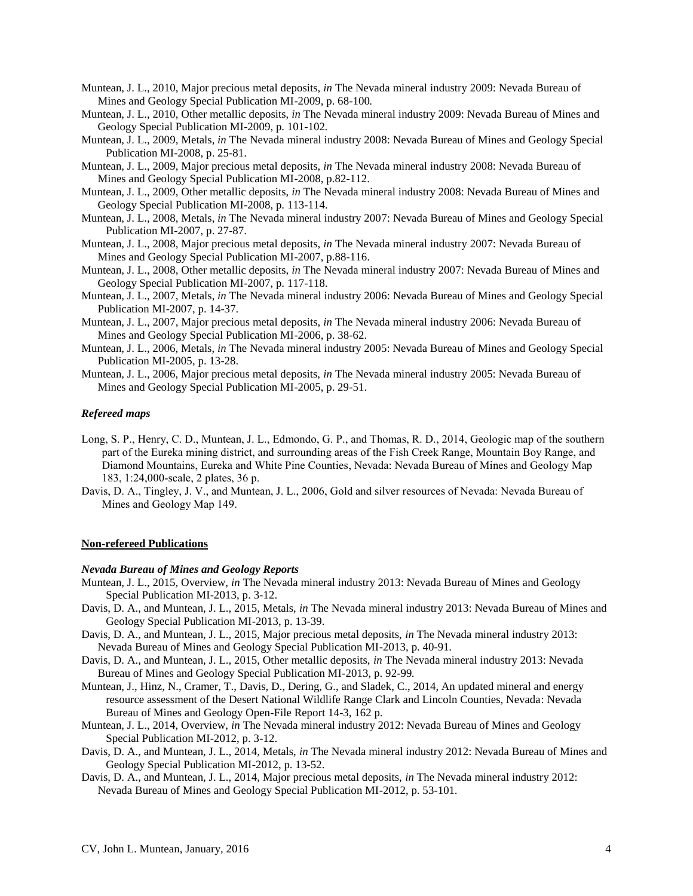- Muntean, J. L., 2010, Major precious metal deposits, *in* The Nevada mineral industry 2009: Nevada Bureau of Mines and Geology Special Publication MI-2009, p. 68-100*.*
- Muntean, J. L., 2010, Other metallic deposits, *in* The Nevada mineral industry 2009: Nevada Bureau of Mines and Geology Special Publication MI-2009, p. 101-102*.*
- Muntean, J. L., 2009, Metals, *in* The Nevada mineral industry 2008: Nevada Bureau of Mines and Geology Special Publication MI-2008, p. 25-81.
- Muntean, J. L., 2009, Major precious metal deposits, *in* The Nevada mineral industry 2008: Nevada Bureau of Mines and Geology Special Publication MI-2008, p.82-112.
- Muntean, J. L., 2009, Other metallic deposits, *in* The Nevada mineral industry 2008: Nevada Bureau of Mines and Geology Special Publication MI-2008, p. 113-114.
- Muntean, J. L., 2008, Metals, *in* The Nevada mineral industry 2007: Nevada Bureau of Mines and Geology Special Publication MI-2007, p. 27-87.
- Muntean, J. L., 2008, Major precious metal deposits, *in* The Nevada mineral industry 2007: Nevada Bureau of Mines and Geology Special Publication MI-2007, p.88-116.
- Muntean, J. L., 2008, Other metallic deposits, *in* The Nevada mineral industry 2007: Nevada Bureau of Mines and Geology Special Publication MI-2007, p. 117-118.
- Muntean, J. L., 2007, Metals, *in* The Nevada mineral industry 2006: Nevada Bureau of Mines and Geology Special Publication MI-2007, p. 14-37.
- Muntean, J. L., 2007, Major precious metal deposits, *in* The Nevada mineral industry 2006: Nevada Bureau of Mines and Geology Special Publication MI-2006, p. 38-62.
- Muntean, J. L., 2006, Metals, *in* The Nevada mineral industry 2005: Nevada Bureau of Mines and Geology Special Publication MI-2005, p. 13-28.
- Muntean, J. L., 2006, Major precious metal deposits, *in* The Nevada mineral industry 2005: Nevada Bureau of Mines and Geology Special Publication MI-2005, p. 29-51.

#### *Refereed maps*

- Long, S. P., Henry, C. D., Muntean, J. L., Edmondo, G. P., and Thomas, R. D., 2014, Geologic map of the southern part of the Eureka mining district, and surrounding areas of the Fish Creek Range, Mountain Boy Range, and Diamond Mountains, Eureka and White Pine Counties, Nevada: Nevada Bureau of Mines and Geology Map 183, 1:24,000-scale, 2 plates, 36 p.
- Davis, D. A., Tingley, J. V., and Muntean, J. L., 2006, Gold and silver resources of Nevada: Nevada Bureau of Mines and Geology Map 149.

#### **Non-refereed Publications**

#### *Nevada Bureau of Mines and Geology Reports*

- Muntean, J. L., 2015, Overview, *in* The Nevada mineral industry 2013: Nevada Bureau of Mines and Geology Special Publication MI-2013, p. 3-12.
- Davis, D. A., and Muntean, J. L., 2015, Metals, *in* The Nevada mineral industry 2013: Nevada Bureau of Mines and Geology Special Publication MI-2013, p. 13-39.
- Davis, D. A., and Muntean, J. L., 2015, Major precious metal deposits, *in* The Nevada mineral industry 2013: Nevada Bureau of Mines and Geology Special Publication MI-2013, p. 40-91*.*
- Davis, D. A., and Muntean, J. L., 2015, Other metallic deposits, *in* The Nevada mineral industry 2013: Nevada Bureau of Mines and Geology Special Publication MI-2013, p. 92-99*.*
- Muntean, J., Hinz, N., Cramer, T., Davis, D., Dering, G., and Sladek, C., 2014, An updated mineral and energy resource assessment of the Desert National Wildlife Range Clark and Lincoln Counties, Nevada: Nevada Bureau of Mines and Geology Open-File Report 14-3, 162 p.
- Muntean, J. L., 2014, Overview, *in* The Nevada mineral industry 2012: Nevada Bureau of Mines and Geology Special Publication MI-2012, p. 3-12.
- Davis, D. A., and Muntean, J. L., 2014, Metals, *in* The Nevada mineral industry 2012: Nevada Bureau of Mines and Geology Special Publication MI-2012, p. 13-52.
- Davis, D. A., and Muntean, J. L., 2014, Major precious metal deposits, *in* The Nevada mineral industry 2012: Nevada Bureau of Mines and Geology Special Publication MI-2012, p. 53-101*.*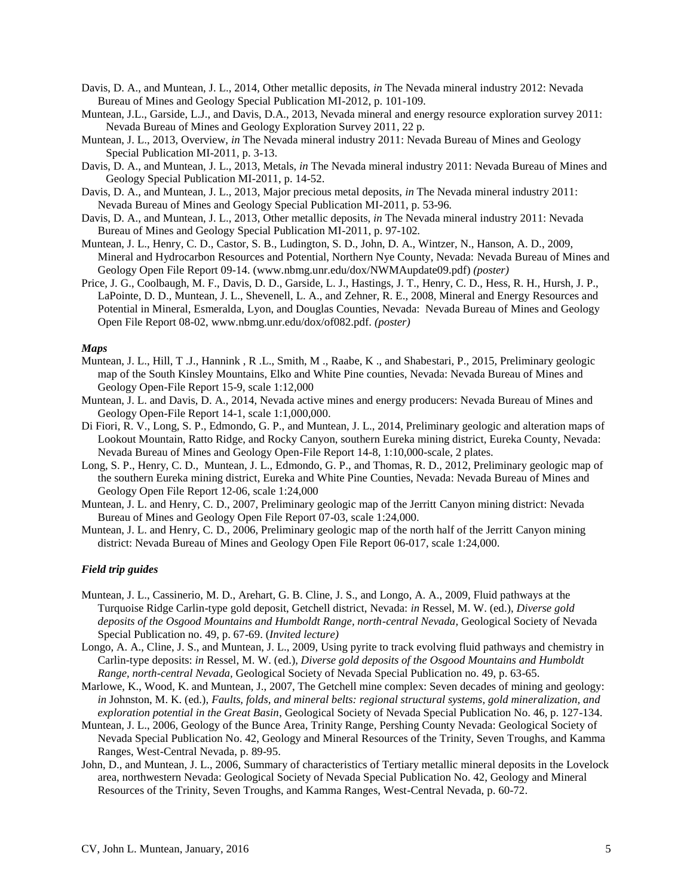- Davis, D. A., and Muntean, J. L., 2014, Other metallic deposits, *in* The Nevada mineral industry 2012: Nevada Bureau of Mines and Geology Special Publication MI-2012, p. 101-109*.*
- Muntean, J.L., Garside, L.J., and Davis, D.A., 2013, Nevada mineral and energy resource exploration survey 2011: Nevada Bureau of Mines and Geology Exploration Survey 2011, 22 p.
- Muntean, J. L., 2013, Overview, *in* The Nevada mineral industry 2011: Nevada Bureau of Mines and Geology Special Publication MI-2011, p. 3-13.
- Davis, D. A., and Muntean, J. L., 2013, Metals, *in* The Nevada mineral industry 2011: Nevada Bureau of Mines and Geology Special Publication MI-2011, p. 14-52.
- Davis, D. A., and Muntean, J. L., 2013, Major precious metal deposits, *in* The Nevada mineral industry 2011: Nevada Bureau of Mines and Geology Special Publication MI-2011, p. 53-96*.*
- Davis, D. A., and Muntean, J. L., 2013, Other metallic deposits, *in* The Nevada mineral industry 2011: Nevada Bureau of Mines and Geology Special Publication MI-2011, p. 97-102*.*
- Muntean, J. L., Henry, C. D., Castor, S. B., Ludington, S. D., John, D. A., Wintzer, N., Hanson, A. D., 2009, Mineral and Hydrocarbon Resources and Potential, Northern Nye County, Nevada: Nevada Bureau of Mines and Geology Open File Report 09-14. (www.nbmg.unr.edu/dox/NWMAupdate09.pdf) *(poster)*
- Price, J. G., Coolbaugh, M. F., Davis, D. D., Garside, L. J., Hastings, J. T., Henry, C. D., Hess, R. H., Hursh, J. P., LaPointe, D. D., Muntean, J. L., Shevenell, L. A., and Zehner, R. E., 2008, Mineral and Energy Resources and Potential in Mineral, Esmeralda, Lyon, and Douglas Counties, Nevada: Nevada Bureau of Mines and Geology Open File Report 08-02, www.nbmg.unr.edu/dox/of082.pdf. *(poster)*

#### *Maps*

- Muntean, J. L., Hill, T. J., Hannink, R. L., Smith, M., Raabe, K., and Shabestari, P., 2015, Preliminary geologic map of the South Kinsley Mountains, Elko and White Pine counties, Nevada: Nevada Bureau of Mines and Geology Open-File Report 15-9, scale 1:12,000
- Muntean, J. L. and Davis, D. A., 2014, Nevada active mines and energy producers: Nevada Bureau of Mines and Geology Open-File Report 14-1, scale 1:1,000,000.
- Di Fiori, R. V., Long, S. P., Edmondo, G. P., and Muntean, J. L., 2014, Preliminary geologic and alteration maps of Lookout Mountain, Ratto Ridge, and Rocky Canyon, southern Eureka mining district, Eureka County, Nevada: Nevada Bureau of Mines and Geology Open-File Report 14-8, 1:10,000-scale, 2 plates.
- Long, S. P., Henry, C. D., Muntean, J. L., Edmondo, G. P., and Thomas, R. D., 2012, Preliminary geologic map of the southern Eureka mining district, Eureka and White Pine Counties, Nevada: Nevada Bureau of Mines and Geology Open File Report 12-06, scale 1:24,000
- Muntean, J. L. and Henry, C. D., 2007, Preliminary geologic map of the Jerritt Canyon mining district: Nevada Bureau of Mines and Geology Open File Report 07-03, scale 1:24,000.
- Muntean, J. L. and Henry, C. D., 2006, Preliminary geologic map of the north half of the Jerritt Canyon mining district: Nevada Bureau of Mines and Geology Open File Report 06-017, scale 1:24,000.

#### *Field trip guides*

- Muntean, J. L., Cassinerio, M. D., Arehart, G. B. Cline, J. S., and Longo, A. A., 2009, Fluid pathways at the Turquoise Ridge Carlin-type gold deposit, Getchell district, Nevada: *in* Ressel, M. W. (ed.), *Diverse gold deposits of the Osgood Mountains and Humboldt Range, north-central Nevada,* Geological Society of Nevada Special Publication no. 49, p. 67-69. (*Invited lecture)*
- Longo, A. A., Cline, J. S., and Muntean, J. L., 2009, Using pyrite to track evolving fluid pathways and chemistry in Carlin-type deposits: *in* Ressel, M. W. (ed.), *Diverse gold deposits of the Osgood Mountains and Humboldt Range, north-central Nevada,* Geological Society of Nevada Special Publication no. 49, p. 63-65.
- Marlowe, K., Wood, K. and Muntean, J., 2007, The Getchell mine complex: Seven decades of mining and geology: *in* Johnston, M. K. (ed.), *Faults, folds, and mineral belts: regional structural systems, gold mineralization, and exploration potential in the Great Basin*, Geological Society of Nevada Special Publication No. 46, p. 127-134.
- Muntean, J. L., 2006, Geology of the Bunce Area, Trinity Range, Pershing County Nevada: Geological Society of Nevada Special Publication No. 42, Geology and Mineral Resources of the Trinity, Seven Troughs, and Kamma Ranges, West-Central Nevada, p. 89-95.
- John, D., and Muntean, J. L., 2006, Summary of characteristics of Tertiary metallic mineral deposits in the Lovelock area, northwestern Nevada: Geological Society of Nevada Special Publication No. 42, Geology and Mineral Resources of the Trinity, Seven Troughs, and Kamma Ranges, West-Central Nevada, p. 60-72.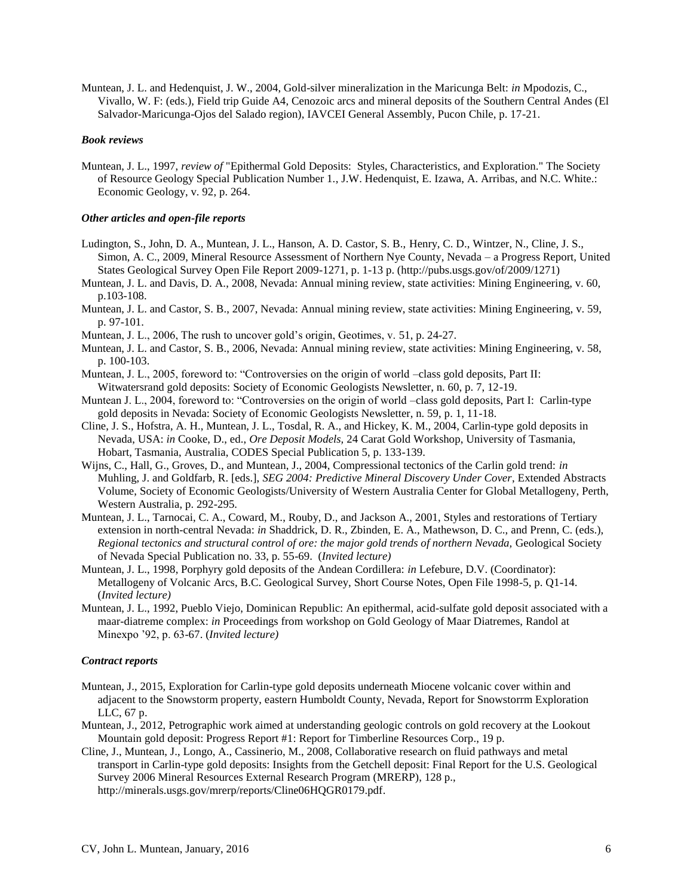Muntean, J. L. and Hedenquist, J. W., 2004, Gold-silver mineralization in the Maricunga Belt: *in* Mpodozis, C., Vivallo, W. F: (eds.), Field trip Guide A4, Cenozoic arcs and mineral deposits of the Southern Central Andes (El Salvador-Maricunga-Ojos del Salado region), IAVCEI General Assembly, Pucon Chile, p. 17-21.

#### *Book reviews*

Muntean, J. L., 1997, *review of* "Epithermal Gold Deposits: Styles, Characteristics, and Exploration." The Society of Resource Geology Special Publication Number 1., J.W. Hedenquist, E. Izawa, A. Arribas, and N.C. White.: Economic Geology, v. 92, p. 264.

#### *Other articles and open-file reports*

- Ludington, S., John, D. A., Muntean, J. L., Hanson, A. D. Castor, S. B., Henry, C. D., Wintzer, N., Cline, J. S., Simon, A. C., 2009, Mineral Resource Assessment of Northern Nye County, Nevada – a Progress Report, United States Geological Survey Open File Report 2009-1271, p. 1-13 p. (http://pubs.usgs.gov/of/2009/1271)
- Muntean, J. L. and Davis, D. A., 2008, Nevada: Annual mining review, state activities: Mining Engineering, v. 60, p.103-108.
- Muntean, J. L. and Castor, S. B., 2007, Nevada: Annual mining review, state activities: Mining Engineering, v. 59, p. 97-101.
- Muntean, J. L., 2006, The rush to uncover gold's origin, Geotimes, v. 51, p. 24-27.
- Muntean, J. L. and Castor, S. B., 2006, Nevada: Annual mining review, state activities: Mining Engineering, v. 58, p. 100-103.
- Muntean, J. L., 2005, foreword to: "Controversies on the origin of world –class gold deposits, Part II: Witwatersrand gold deposits: Society of Economic Geologists Newsletter, n. 60, p. 7, 12-19.
- Muntean J. L., 2004, foreword to: "Controversies on the origin of world –class gold deposits, Part I: Carlin-type gold deposits in Nevada: Society of Economic Geologists Newsletter, n. 59, p. 1, 11-18.
- Cline, J. S., Hofstra, A. H., Muntean, J. L., Tosdal, R. A., and Hickey, K. M., 2004, Carlin-type gold deposits in Nevada, USA: *in* Cooke, D., ed., *Ore Deposit Models,* 24 Carat Gold Workshop, University of Tasmania, Hobart, Tasmania, Australia, CODES Special Publication 5, p. 133-139.
- Wijns, C., Hall, G., Groves, D., and Muntean, J., 2004, Compressional tectonics of the Carlin gold trend: *in* Muhling, J. and Goldfarb, R. [eds.], *SEG 2004: Predictive Mineral Discovery Under Cover*, Extended Abstracts Volume, Society of Economic Geologists/University of Western Australia Center for Global Metallogeny, Perth, Western Australia, p. 292-295.
- Muntean, J. L., Tarnocai, C. A., Coward, M., Rouby, D., and Jackson A., 2001, Styles and restorations of Tertiary extension in north-central Nevada: *in* Shaddrick, D. R., Zbinden, E. A., Mathewson, D. C., and Prenn, C. (eds.), *Regional tectonics and structural control of ore: the major gold trends of northern Nevada,* Geological Society of Nevada Special Publication no. 33, p. 55-69. (*Invited lecture)*
- Muntean, J. L., 1998, Porphyry gold deposits of the Andean Cordillera: *in* Lefebure, D.V. (Coordinator): Metallogeny of Volcanic Arcs, B.C. Geological Survey, Short Course Notes, Open File 1998-5, p. Q1-14. (*Invited lecture)*
- Muntean, J. L., 1992, Pueblo Viejo, Dominican Republic: An epithermal, acid-sulfate gold deposit associated with a maar-diatreme complex: *in* Proceedings from workshop on Gold Geology of Maar Diatremes, Randol at Minexpo '92, p. 63-67. (*Invited lecture)*

#### *Contract reports*

- Muntean, J., 2015, Exploration for Carlin-type gold deposits underneath Miocene volcanic cover within and adjacent to the Snowstorm property, eastern Humboldt County, Nevada, Report for Snowstorrm Exploration LLC, 67 p.
- Muntean, J., 2012, Petrographic work aimed at understanding geologic controls on gold recovery at the Lookout Mountain gold deposit: Progress Report #1: Report for Timberline Resources Corp., 19 p.
- Cline, J., Muntean, J., Longo, A., Cassinerio, M., 2008, Collaborative research on fluid pathways and metal transport in Carlin-type gold deposits: Insights from the Getchell deposit: Final Report for the U.S. Geological Survey 2006 Mineral Resources External Research Program (MRERP), 128 p., http://minerals.usgs.gov/mrerp/reports/Cline06HQGR0179.pdf.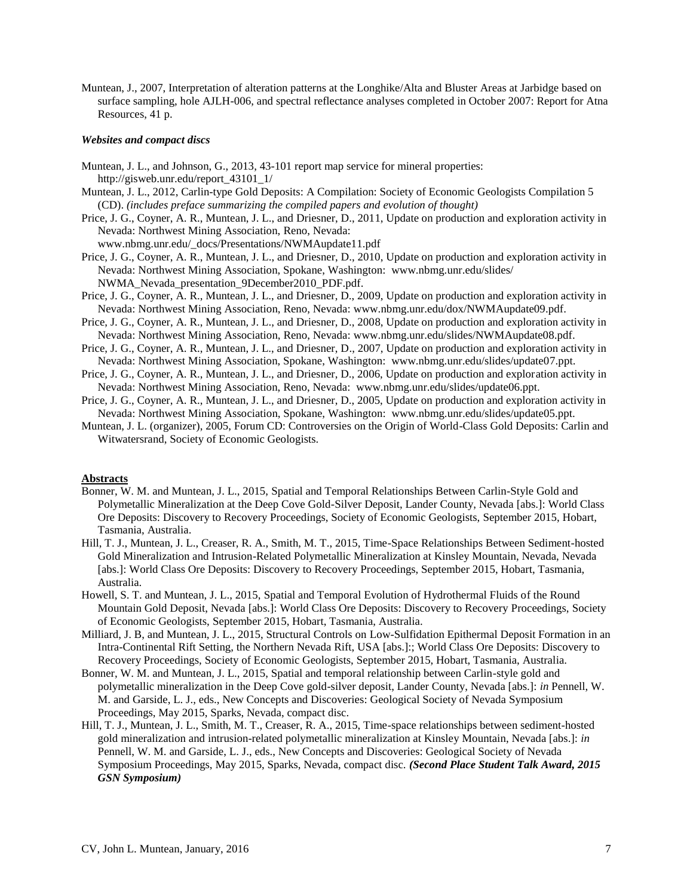Muntean, J., 2007, Interpretation of alteration patterns at the Longhike/Alta and Bluster Areas at Jarbidge based on surface sampling, hole AJLH-006, and spectral reflectance analyses completed in October 2007: Report for Atna Resources, 41 p.

#### *Websites and compact discs*

- Muntean, J. L., and Johnson, G., 2013, 43-101 report map service for mineral properties: http://gisweb.unr.edu/report\_43101\_1/
- Muntean, J. L., 2012, Carlin-type Gold Deposits: A Compilation: Society of Economic Geologists Compilation 5 (CD). *(includes preface summarizing the compiled papers and evolution of thought)*
- Price, J. G., Coyner, A. R., Muntean, J. L., and Driesner, D., 2011, Update on production and exploration activity in Nevada: Northwest Mining Association, Reno, Nevada:

www.nbmg.unr.edu/\_docs/Presentations/NWMAupdate11.pdf

- Price, J. G., Coyner, A. R., Muntean, J. L., and Driesner, D., 2010, Update on production and exploration activity in Nevada: Northwest Mining Association, Spokane, Washington: www.nbmg.unr.edu/slides/ NWMA\_Nevada\_presentation\_9December2010\_PDF.pdf.
- Price, J. G., Coyner, A. R., Muntean, J. L., and Driesner, D., 2009, Update on production and exploration activity in Nevada: Northwest Mining Association, Reno, Nevada: www.nbmg.unr.edu/dox/NWMAupdate09.pdf.
- Price, J. G., Coyner, A. R., Muntean, J. L., and Driesner, D., 2008, Update on production and exploration activity in Nevada: Northwest Mining Association, Reno, Nevada: www.nbmg.unr.edu/slides/NWMAupdate08.pdf.
- Price, J. G., Coyner, A. R., Muntean, J. L., and Driesner, D., 2007, Update on production and exploration activity in Nevada: Northwest Mining Association, Spokane, Washington: www.nbmg.unr.edu/slides/update07.ppt.
- Price, J. G., Coyner, A. R., Muntean, J. L., and Driesner, D., 2006, Update on production and exploration activity in Nevada: Northwest Mining Association, Reno, Nevada: www.nbmg.unr.edu/slides/update06.ppt.
- Price, J. G., Coyner, A. R., Muntean, J. L., and Driesner, D., 2005, Update on production and exploration activity in Nevada: Northwest Mining Association, Spokane, Washington: www.nbmg.unr.edu/slides/update05.ppt.
- Muntean, J. L. (organizer), 2005, Forum CD: Controversies on the Origin of World-Class Gold Deposits: Carlin and Witwatersrand, Society of Economic Geologists.

#### **Abstracts**

- Bonner, W. M. and Muntean, J. L., 2015, Spatial and Temporal Relationships Between Carlin-Style Gold and Polymetallic Mineralization at the Deep Cove Gold-Silver Deposit, Lander County, Nevada [abs.]: World Class Ore Deposits: Discovery to Recovery Proceedings, Society of Economic Geologists, September 2015, Hobart, Tasmania, Australia.
- Hill, T. J., Muntean, J. L., Creaser, R. A., Smith, M. T., 2015, Time-Space Relationships Between Sediment-hosted Gold Mineralization and Intrusion-Related Polymetallic Mineralization at Kinsley Mountain, Nevada, Nevada [abs.]: World Class Ore Deposits: Discovery to Recovery Proceedings, September 2015, Hobart, Tasmania, Australia.
- Howell, S. T. and Muntean, J. L., 2015, Spatial and Temporal Evolution of Hydrothermal Fluids of the Round Mountain Gold Deposit, Nevada [abs.]: World Class Ore Deposits: Discovery to Recovery Proceedings, Society of Economic Geologists, September 2015, Hobart, Tasmania, Australia.
- Milliard, J. B, and Muntean, J. L., 2015, Structural Controls on Low-Sulfidation Epithermal Deposit Formation in an Intra-Continental Rift Setting, the Northern Nevada Rift, USA [abs.]:; World Class Ore Deposits: Discovery to Recovery Proceedings, Society of Economic Geologists, September 2015, Hobart, Tasmania, Australia.
- Bonner, W. M. and Muntean, J. L., 2015, Spatial and temporal relationship between Carlin-style gold and polymetallic mineralization in the Deep Cove gold-silver deposit, Lander County, Nevada [abs.]: *in* Pennell, W. M. and Garside, L. J., eds., New Concepts and Discoveries: Geological Society of Nevada Symposium Proceedings, May 2015, Sparks, Nevada, compact disc.
- Hill, T. J., Muntean, J. L., Smith, M. T., Creaser, R. A., 2015, Time-space relationships between sediment-hosted gold mineralization and intrusion-related polymetallic mineralization at Kinsley Mountain, Nevada [abs.]: *in* Pennell, W. M. and Garside, L. J., eds., New Concepts and Discoveries: Geological Society of Nevada Symposium Proceedings, May 2015, Sparks, Nevada, compact disc. *(Second Place Student Talk Award, 2015 GSN Symposium)*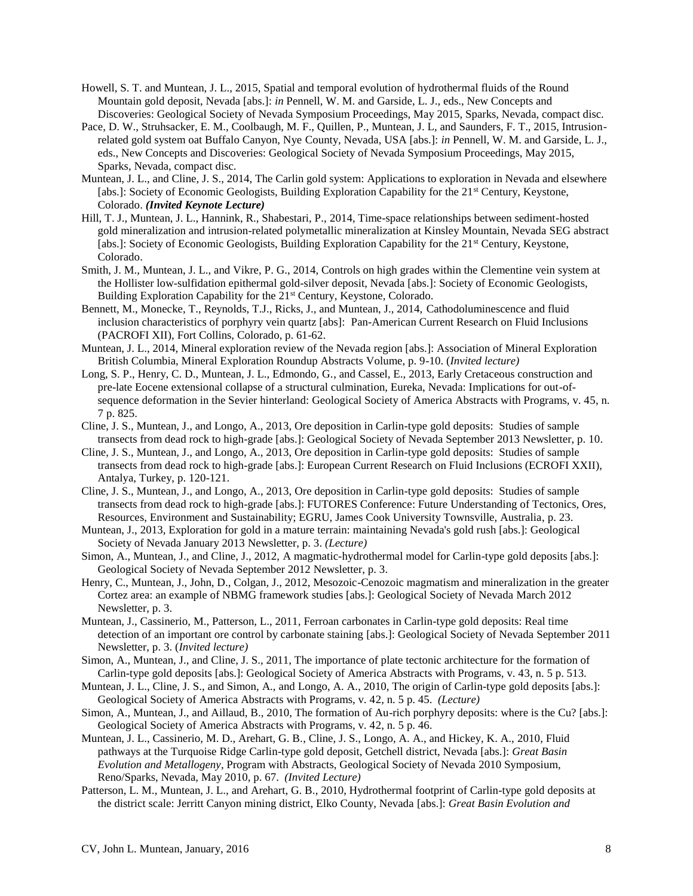- Howell, S. T. and Muntean, J. L., 2015, Spatial and temporal evolution of hydrothermal fluids of the Round Mountain gold deposit, Nevada [abs.]: *in* Pennell, W. M. and Garside, L. J., eds., New Concepts and Discoveries: Geological Society of Nevada Symposium Proceedings, May 2015, Sparks, Nevada, compact disc.
- Pace, D. W., Struhsacker, E. M., Coolbaugh, M. F., Quillen, P., Muntean, J. L, and Saunders, F. T., 2015, Intrusionrelated gold system oat Buffalo Canyon, Nye County, Nevada, USA [abs.]: *in* Pennell, W. M. and Garside, L. J., eds., New Concepts and Discoveries: Geological Society of Nevada Symposium Proceedings, May 2015, Sparks, Nevada, compact disc.
- Muntean, J. L., and Cline, J. S., 2014, The Carlin gold system: Applications to exploration in Nevada and elsewhere [abs.]: Society of Economic Geologists, Building Exploration Capability for the 21<sup>st</sup> Century, Keystone, Colorado. *(Invited Keynote Lecture)*
- Hill, T. J., Muntean, J. L., Hannink, R., Shabestari, P., 2014, Time-space relationships between sediment-hosted gold mineralization and intrusion-related polymetallic mineralization at Kinsley Mountain, Nevada SEG abstract [abs.]: Society of Economic Geologists, Building Exploration Capability for the 21<sup>st</sup> Century, Keystone, Colorado.
- Smith, J. M., Muntean, J. L., and Vikre, P. G., 2014, Controls on high grades within the Clementine vein system at the Hollister low-sulfidation epithermal gold-silver deposit, Nevada [abs.]: Society of Economic Geologists, Building Exploration Capability for the 21<sup>st</sup> Century, Keystone, Colorado.
- Bennett, M., Monecke, T., Reynolds, T.J., Ricks, J., and Muntean, J., 2014, Cathodoluminescence and fluid inclusion characteristics of porphyry vein quartz [abs]: Pan-American Current Research on Fluid Inclusions (PACROFI XII), Fort Collins, Colorado, p. 61-62.
- Muntean, J. L., 2014, Mineral exploration review of the Nevada region [abs.]: Association of Mineral Exploration British Columbia, Mineral Exploration Roundup Abstracts Volume, p. 9-10. (*Invited lecture)*
- Long, S. P., Henry, C. D., Muntean, J. L., Edmondo, G., and Cassel, E., 2013, Early Cretaceous construction and pre-late Eocene extensional collapse of a structural culmination, Eureka, Nevada: Implications for out-ofsequence deformation in the Sevier hinterland: Geological Society of America Abstracts with Programs, v. 45, n. 7 p. 825.
- Cline, J. S., Muntean, J., and Longo, A., 2013, Ore deposition in Carlin-type gold deposits: Studies of sample transects from dead rock to high-grade [abs.]: Geological Society of Nevada September 2013 Newsletter, p. 10.
- Cline, J. S., Muntean, J., and Longo, A., 2013, Ore deposition in Carlin-type gold deposits: Studies of sample transects from dead rock to high-grade [abs.]: European Current Research on Fluid Inclusions (ECROFI XXII), Antalya, Turkey, p. 120-121.
- Cline, J. S., Muntean, J., and Longo, A., 2013, Ore deposition in Carlin-type gold deposits: Studies of sample transects from dead rock to high-grade [abs.]: FUTORES Conference: Future Understanding of Tectonics, Ores, Resources, Environment and Sustainability; EGRU, James Cook University Townsville, Australia, p. 23.
- Muntean, J., 2013, Exploration for gold in a mature terrain: maintaining Nevada's gold rush [abs.]: Geological Society of Nevada January 2013 Newsletter, p. 3. *(Lecture)*
- Simon, A., Muntean, J., and Cline, J., 2012, A magmatic-hydrothermal model for Carlin-type gold deposits [abs.]: Geological Society of Nevada September 2012 Newsletter, p. 3.
- Henry, C., Muntean, J., John, D., Colgan, J., 2012, Mesozoic-Cenozoic magmatism and mineralization in the greater Cortez area: an example of NBMG framework studies [abs.]: Geological Society of Nevada March 2012 Newsletter, p. 3.
- Muntean, J., Cassinerio, M., Patterson, L., 2011, Ferroan carbonates in Carlin-type gold deposits: Real time detection of an important ore control by carbonate staining [abs.]: Geological Society of Nevada September 2011 Newsletter, p. 3. (*Invited lecture)*
- Simon, A., Muntean, J., and Cline, J. S., 2011, The importance of plate tectonic architecture for the formation of Carlin-type gold deposits [abs.]: Geological Society of America Abstracts with Programs, v. 43, n. 5 p. 513.
- Muntean, J. L., Cline, J. S., and Simon, A., and Longo, A. A., 2010, The origin of Carlin-type gold deposits [abs.]: Geological Society of America Abstracts with Programs, v. 42, n. 5 p. 45. *(Lecture)*
- Simon, A., Muntean, J., and Aillaud, B., 2010, The formation of Au-rich porphyry deposits: where is the Cu? [abs.]: Geological Society of America Abstracts with Programs, v. 42, n. 5 p. 46.
- Muntean, J. L., Cassinerio, M. D., Arehart, G. B., Cline, J. S., Longo, A. A., and Hickey, K. A., 2010, Fluid pathways at the Turquoise Ridge Carlin-type gold deposit, Getchell district, Nevada [abs.]: *Great Basin Evolution and Metallogeny*, Program with Abstracts, Geological Society of Nevada 2010 Symposium, Reno/Sparks, Nevada, May 2010, p. 67. *(Invited Lecture)*
- Patterson, L. M., Muntean, J. L., and Arehart, G. B., 2010, Hydrothermal footprint of Carlin-type gold deposits at the district scale: Jerritt Canyon mining district, Elko County, Nevada [abs.]: *Great Basin Evolution and*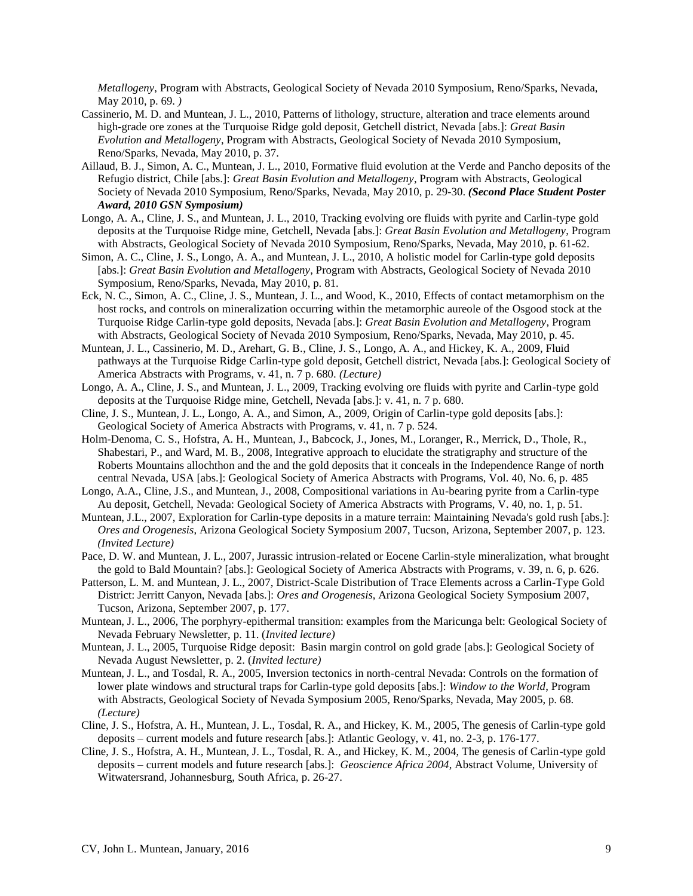*Metallogeny*, Program with Abstracts, Geological Society of Nevada 2010 Symposium, Reno/Sparks, Nevada, May 2010, p. 69. *)*

- Cassinerio, M. D. and Muntean, J. L., 2010, Patterns of lithology, structure, alteration and trace elements around high-grade ore zones at the Turquoise Ridge gold deposit, Getchell district, Nevada [abs.]: *Great Basin Evolution and Metallogeny*, Program with Abstracts, Geological Society of Nevada 2010 Symposium, Reno/Sparks, Nevada, May 2010, p. 37.
- Aillaud, B. J., Simon, A. C., Muntean, J. L., 2010, Formative fluid evolution at the Verde and Pancho deposits of the Refugio district, Chile [abs.]: *Great Basin Evolution and Metallogeny*, Program with Abstracts, Geological Society of Nevada 2010 Symposium, Reno/Sparks, Nevada, May 2010, p. 29-30. *(Second Place Student Poster Award, 2010 GSN Symposium)*
- Longo, A. A., Cline, J. S., and Muntean, J. L., 2010, Tracking evolving ore fluids with pyrite and Carlin-type gold deposits at the Turquoise Ridge mine, Getchell, Nevada [abs.]: *Great Basin Evolution and Metallogeny*, Program with Abstracts, Geological Society of Nevada 2010 Symposium, Reno/Sparks, Nevada, May 2010, p. 61-62.
- Simon, A. C., Cline, J. S., Longo, A. A., and Muntean, J. L., 2010, A holistic model for Carlin-type gold deposits [abs.]: *Great Basin Evolution and Metallogeny*, Program with Abstracts, Geological Society of Nevada 2010 Symposium, Reno/Sparks, Nevada, May 2010, p. 81.
- Eck, N. C., Simon, A. C., Cline, J. S., Muntean, J. L., and Wood, K., 2010, Effects of contact metamorphism on the host rocks, and controls on mineralization occurring within the metamorphic aureole of the Osgood stock at the Turquoise Ridge Carlin-type gold deposits, Nevada [abs.]: *Great Basin Evolution and Metallogeny*, Program with Abstracts, Geological Society of Nevada 2010 Symposium, Reno/Sparks, Nevada, May 2010, p. 45.
- Muntean, J. L., Cassinerio, M. D., Arehart, G. B., Cline, J. S., Longo, A. A., and Hickey, K. A., 2009, Fluid pathways at the Turquoise Ridge Carlin-type gold deposit, Getchell district, Nevada [abs.]: Geological Society of America Abstracts with Programs, v. 41, n. 7 p. 680. *(Lecture)*
- Longo, A. A., Cline, J. S., and Muntean, J. L., 2009, Tracking evolving ore fluids with pyrite and Carlin-type gold deposits at the Turquoise Ridge mine, Getchell, Nevada [abs.]: v. 41, n. 7 p. 680.
- Cline, J. S., Muntean, J. L., Longo, A. A., and Simon, A., 2009, Origin of Carlin-type gold deposits [abs.]: Geological Society of America Abstracts with Programs, v. 41, n. 7 p. 524.
- Holm-Denoma, C. S., Hofstra, A. H., Muntean, J., Babcock, J., Jones, M., Loranger, R., Merrick, D., Thole, R., Shabestari, P., and Ward, M. B., 2008, Integrative approach to elucidate the stratigraphy and structure of the Roberts Mountains allochthon and the and the gold deposits that it conceals in the Independence Range of north central Nevada, USA [abs.]: Geological Society of America Abstracts with Programs, Vol. 40, No. 6, p. 485
- Longo, A.A., Cline, J.S., and Muntean, J., 2008, Compositional variations in Au-bearing pyrite from a Carlin-type Au deposit, Getchell, Nevada: Geological Society of America Abstracts with Programs, V. 40, no. 1, p. 51.
- Muntean, J.L., 2007, Exploration for Carlin-type deposits in a mature terrain: Maintaining Nevada's gold rush [abs.]: *Ores and Orogenesis*, Arizona Geological Society Symposium 2007, Tucson, Arizona, September 2007, p. 123. *(Invited Lecture)*
- Pace, D. W. and Muntean, J. L., 2007, Jurassic intrusion-related or Eocene Carlin-style mineralization, what brought the gold to Bald Mountain? [abs.]: Geological Society of America Abstracts with Programs, v. 39, n. 6, p. 626.
- Patterson, L. M. and Muntean, J. L., 2007, District-Scale Distribution of Trace Elements across a Carlin-Type Gold District: Jerritt Canyon, Nevada [abs.]: *Ores and Orogenesis*, Arizona Geological Society Symposium 2007, Tucson, Arizona, September 2007, p. 177.
- Muntean, J. L., 2006, The porphyry-epithermal transition: examples from the Maricunga belt: Geological Society of Nevada February Newsletter, p. 11. (*Invited lecture)*
- Muntean, J. L., 2005, Turquoise Ridge deposit: Basin margin control on gold grade [abs.]: Geological Society of Nevada August Newsletter, p. 2. (*Invited lecture)*
- Muntean, J. L., and Tosdal, R. A., 2005, Inversion tectonics in north-central Nevada: Controls on the formation of lower plate windows and structural traps for Carlin-type gold deposits [abs.]: *Window to the World*, Program with Abstracts, Geological Society of Nevada Symposium 2005, Reno/Sparks, Nevada, May 2005, p. 68. *(Lecture)*
- Cline, J. S., Hofstra, A. H., Muntean, J. L., Tosdal, R. A., and Hickey, K. M., 2005, The genesis of Carlin-type gold deposits – current models and future research [abs.]: Atlantic Geology, v. 41, no. 2-3, p. 176-177.
- Cline, J. S., Hofstra, A. H., Muntean, J. L., Tosdal, R. A., and Hickey, K. M., 2004, The genesis of Carlin-type gold deposits – current models and future research [abs.]: *Geoscience Africa 2004*, Abstract Volume, University of Witwatersrand, Johannesburg, South Africa, p. 26-27.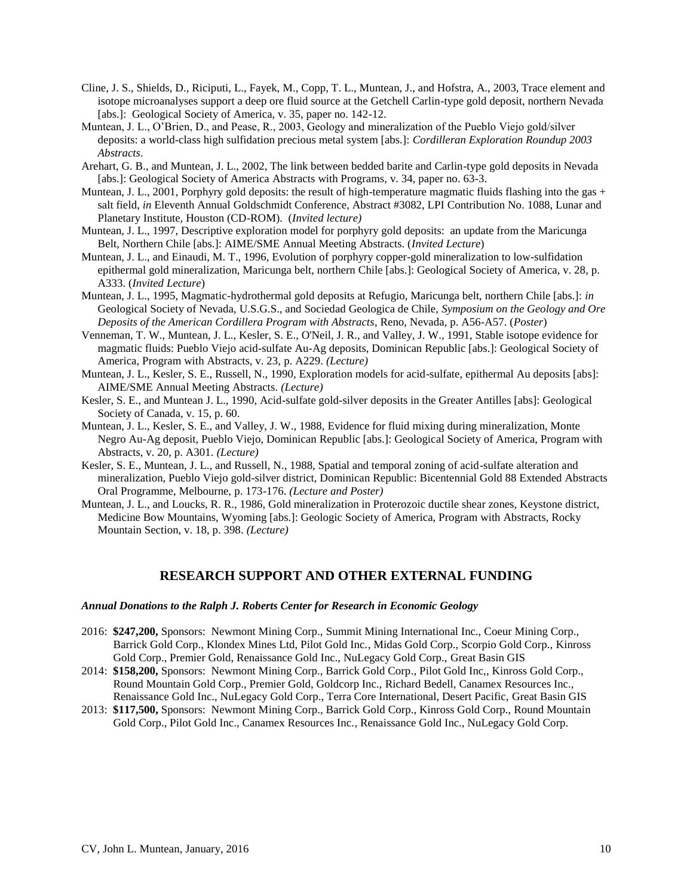- Cline, J. S., Shields, D., Riciputi, L., Fayek, M., Copp, T. L., Muntean, J., and Hofstra, A., 2003, Trace element and isotope microanalyses support a deep ore fluid source at the Getchell Carlin-type gold deposit, northern Nevada [abs.]: Geological Society of America, v. 35, paper no. 142-12.
- Muntean, J. L., O'Brien, D., and Pease, R., 2003, Geology and mineralization of the Pueblo Viejo gold/silver deposits: a world-class high sulfidation precious metal system [abs.]: *Cordilleran Exploration Roundup 2003 Abstracts*.
- Arehart, G. B., and Muntean, J. L., 2002, The link between bedded barite and Carlin-type gold deposits in Nevada [abs.]: Geological Society of America Abstracts with Programs, v. 34, paper no. 63-3.
- Muntean, J. L., 2001, Porphyry gold deposits: the result of high-temperature magmatic fluids flashing into the gas + salt field, *in* Eleventh Annual Goldschmidt Conference, Abstract #3082, LPI Contribution No. 1088, Lunar and Planetary Institute, Houston (CD-ROM). (*Invited lecture)*
- Muntean, J. L., 1997, Descriptive exploration model for porphyry gold deposits: an update from the Maricunga Belt, Northern Chile [abs.]: AIME/SME Annual Meeting Abstracts. (*Invited Lecture*)
- Muntean, J. L., and Einaudi, M. T., 1996, Evolution of porphyry copper-gold mineralization to low-sulfidation epithermal gold mineralization, Maricunga belt, northern Chile [abs.]: Geological Society of America, v. 28, p. A333. (*Invited Lecture*)
- Muntean, J. L., 1995, Magmatic-hydrothermal gold deposits at Refugio, Maricunga belt, northern Chile [abs.]: *in* Geological Society of Nevada, U.S.G.S., and Sociedad Geologica de Chile, *Symposium on the Geology and Ore Deposits of the American Cordillera Program with Abstracts*, Reno, Nevada, p. A56-A57. (*Poster*)
- Venneman, T. W., Muntean, J. L., Kesler, S. E., O'Neil, J. R., and Valley, J. W., 1991, Stable isotope evidence for magmatic fluids: Pueblo Viejo acid-sulfate Au-Ag deposits, Dominican Republic [abs.]: Geological Society of America, Program with Abstracts, v. 23, p. A229. *(Lecture)*
- Muntean, J. L., Kesler, S. E., Russell, N., 1990, Exploration models for acid-sulfate, epithermal Au deposits [abs]: AIME/SME Annual Meeting Abstracts. *(Lecture)*
- Kesler, S. E., and Muntean J. L., 1990, Acid-sulfate gold-silver deposits in the Greater Antilles [abs]: Geological Society of Canada, v. 15, p. 60.
- Muntean, J. L., Kesler, S. E., and Valley, J. W., 1988, Evidence for fluid mixing during mineralization, Monte Negro Au-Ag deposit, Pueblo Viejo, Dominican Republic [abs.]: Geological Society of America, Program with Abstracts, v. 20, p. A301. *(Lecture)*
- Kesler, S. E., Muntean, J. L., and Russell, N., 1988, Spatial and temporal zoning of acid-sulfate alteration and mineralization, Pueblo Viejo gold-silver district, Dominican Republic: Bicentennial Gold 88 Extended Abstracts Oral Programme, Melbourne, p. 173-176. *(Lecture and Poster)*
- Muntean, J. L., and Loucks, R. R., 1986, Gold mineralization in Proterozoic ductile shear zones, Keystone district, Medicine Bow Mountains, Wyoming [abs.]: Geologic Society of America, Program with Abstracts, Rocky Mountain Section, v. 18, p. 398. *(Lecture)*

# **RESEARCH SUPPORT AND OTHER EXTERNAL FUNDING**

#### *Annual Donations to the Ralph J. Roberts Center for Research in Economic Geology*

- 2016: **\$247,200,** Sponsors: Newmont Mining Corp., Summit Mining International Inc., Coeur Mining Corp., Barrick Gold Corp., Klondex Mines Ltd, Pilot Gold Inc., Midas Gold Corp., Scorpio Gold Corp., Kinross Gold Corp., Premier Gold, Renaissance Gold Inc., NuLegacy Gold Corp., Great Basin GIS
- 2014: **\$158,200,** Sponsors: Newmont Mining Corp., Barrick Gold Corp., Pilot Gold Inc,, Kinross Gold Corp., Round Mountain Gold Corp., Premier Gold, Goldcorp Inc., Richard Bedell, Canamex Resources Inc., Renaissance Gold Inc., NuLegacy Gold Corp., Terra Core International, Desert Pacific, Great Basin GIS
- 2013: **\$117,500,** Sponsors: Newmont Mining Corp., Barrick Gold Corp., Kinross Gold Corp., Round Mountain Gold Corp., Pilot Gold Inc., Canamex Resources Inc., Renaissance Gold Inc., NuLegacy Gold Corp.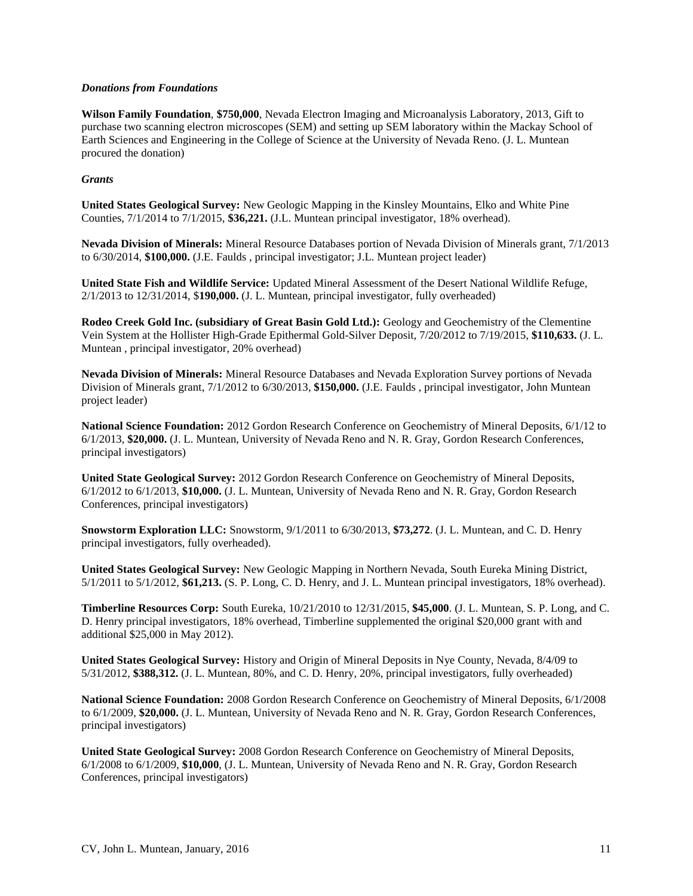## *Donations from Foundations*

**Wilson Family Foundation**, **\$750,000**, Nevada Electron Imaging and Microanalysis Laboratory, 2013, Gift to purchase two scanning electron microscopes (SEM) and setting up SEM laboratory within the Mackay School of Earth Sciences and Engineering in the College of Science at the University of Nevada Reno. (J. L. Muntean procured the donation)

## *Grants*

**United States Geological Survey:** New Geologic Mapping in the Kinsley Mountains, Elko and White Pine Counties, 7/1/2014 to 7/1/2015, **\$36,221.** (J.L. Muntean principal investigator, 18% overhead).

**Nevada Division of Minerals:** Mineral Resource Databases portion of Nevada Division of Minerals grant, 7/1/2013 to 6/30/2014, **\$100,000.** (J.E. Faulds , principal investigator; J.L. Muntean project leader)

**United State Fish and Wildlife Service:** Updated Mineral Assessment of the Desert National Wildlife Refuge, 2/1/2013 to 12/31/2014, \$**190,000.** (J. L. Muntean, principal investigator, fully overheaded)

**Rodeo Creek Gold Inc. (subsidiary of Great Basin Gold Ltd.):** Geology and Geochemistry of the Clementine Vein System at the Hollister High-Grade Epithermal Gold-Silver Deposit, 7/20/2012 to 7/19/2015, **\$110,633.** (J. L. Muntean , principal investigator, 20% overhead)

**Nevada Division of Minerals:** Mineral Resource Databases and Nevada Exploration Survey portions of Nevada Division of Minerals grant, 7/1/2012 to 6/30/2013, **\$150,000.** (J.E. Faulds , principal investigator, John Muntean project leader)

**National Science Foundation:** 2012 Gordon Research Conference on Geochemistry of Mineral Deposits, 6/1/12 to 6/1/2013, **\$20,000.** (J. L. Muntean, University of Nevada Reno and N. R. Gray, Gordon Research Conferences, principal investigators)

**United State Geological Survey:** 2012 Gordon Research Conference on Geochemistry of Mineral Deposits, 6/1/2012 to 6/1/2013, **\$10,000.** (J. L. Muntean, University of Nevada Reno and N. R. Gray, Gordon Research Conferences, principal investigators)

**Snowstorm Exploration LLC:** Snowstorm, 9/1/2011 to 6/30/2013, **\$73,272**. (J. L. Muntean, and C. D. Henry principal investigators, fully overheaded).

**United States Geological Survey:** New Geologic Mapping in Northern Nevada, South Eureka Mining District, 5/1/2011 to 5/1/2012, **\$61,213.** (S. P. Long, C. D. Henry, and J. L. Muntean principal investigators, 18% overhead).

**Timberline Resources Corp:** South Eureka, 10/21/2010 to 12/31/2015, **\$45,000**. (J. L. Muntean, S. P. Long, and C. D. Henry principal investigators, 18% overhead, Timberline supplemented the original \$20,000 grant with and additional \$25,000 in May 2012).

**United States Geological Survey:** History and Origin of Mineral Deposits in Nye County, Nevada, 8/4/09 to 5/31/2012, **\$388,312.** (J. L. Muntean, 80%, and C. D. Henry, 20%, principal investigators, fully overheaded)

**National Science Foundation:** 2008 Gordon Research Conference on Geochemistry of Mineral Deposits, 6/1/2008 to 6/1/2009, **\$20,000.** (J. L. Muntean, University of Nevada Reno and N. R. Gray, Gordon Research Conferences, principal investigators)

**United State Geological Survey:** 2008 Gordon Research Conference on Geochemistry of Mineral Deposits, 6/1/2008 to 6/1/2009, **\$10,000**, (J. L. Muntean, University of Nevada Reno and N. R. Gray, Gordon Research Conferences, principal investigators)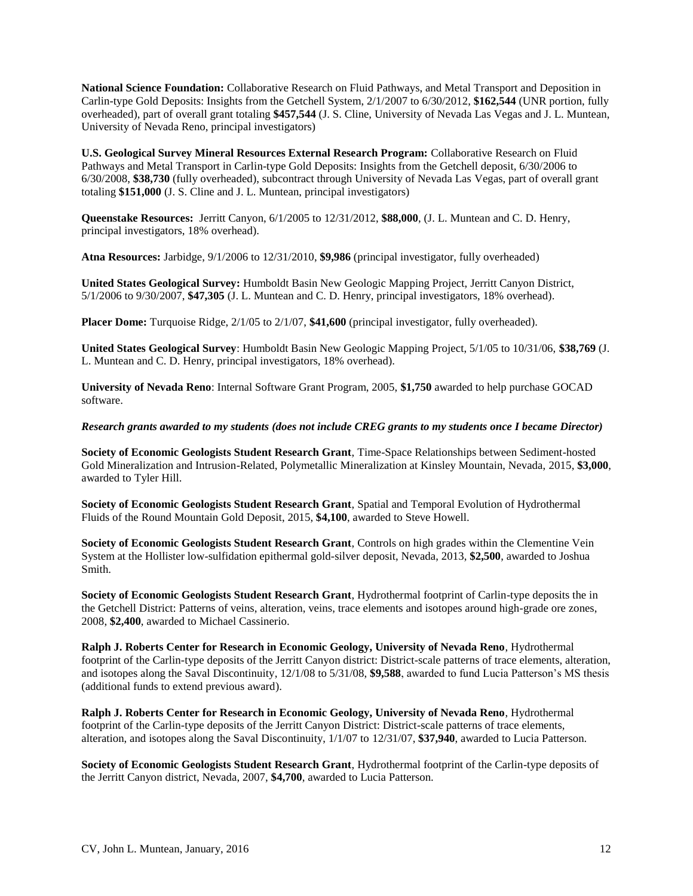**National Science Foundation:** Collaborative Research on Fluid Pathways, and Metal Transport and Deposition in Carlin-type Gold Deposits: Insights from the Getchell System, 2/1/2007 to 6/30/2012, **\$162,544** (UNR portion, fully overheaded), part of overall grant totaling **\$457,544** (J. S. Cline, University of Nevada Las Vegas and J. L. Muntean, University of Nevada Reno, principal investigators)

**U.S. Geological Survey Mineral Resources External Research Program:** Collaborative Research on Fluid Pathways and Metal Transport in Carlin-type Gold Deposits: Insights from the Getchell deposit, 6/30/2006 to 6/30/2008, **\$38,730** (fully overheaded), subcontract through University of Nevada Las Vegas, part of overall grant totaling **\$151,000** (J. S. Cline and J. L. Muntean, principal investigators)

**Queenstake Resources:** Jerritt Canyon, 6/1/2005 to 12/31/2012, **\$88,000**, (J. L. Muntean and C. D. Henry, principal investigators, 18% overhead).

**Atna Resources:** Jarbidge, 9/1/2006 to 12/31/2010, **\$9,986** (principal investigator, fully overheaded)

**United States Geological Survey:** Humboldt Basin New Geologic Mapping Project, Jerritt Canyon District, 5/1/2006 to 9/30/2007, **\$47,305** (J. L. Muntean and C. D. Henry, principal investigators, 18% overhead).

**Placer Dome:** Turquoise Ridge, 2/1/05 to 2/1/07, **\$41,600** (principal investigator, fully overheaded).

**United States Geological Survey**: Humboldt Basin New Geologic Mapping Project, 5/1/05 to 10/31/06, **\$38,769** (J. L. Muntean and C. D. Henry, principal investigators, 18% overhead).

**University of Nevada Reno**: Internal Software Grant Program, 2005, **\$1,750** awarded to help purchase GOCAD software.

*Research grants awarded to my students (does not include CREG grants to my students once I became Director)*

**Society of Economic Geologists Student Research Grant**, Time-Space Relationships between Sediment-hosted Gold Mineralization and Intrusion-Related, Polymetallic Mineralization at Kinsley Mountain, Nevada, 2015, **\$3,000**, awarded to Tyler Hill.

**Society of Economic Geologists Student Research Grant**, Spatial and Temporal Evolution of Hydrothermal Fluids of the Round Mountain Gold Deposit, 2015, **\$4,100**, awarded to Steve Howell.

**Society of Economic Geologists Student Research Grant**, Controls on high grades within the Clementine Vein System at the Hollister low-sulfidation epithermal gold-silver deposit, Nevada, 2013, **\$2,500**, awarded to Joshua Smith.

**Society of Economic Geologists Student Research Grant**, Hydrothermal footprint of Carlin-type deposits the in the Getchell District: Patterns of veins, alteration, veins, trace elements and isotopes around high-grade ore zones, 2008, **\$2,400**, awarded to Michael Cassinerio.

**Ralph J. Roberts Center for Research in Economic Geology, University of Nevada Reno**, Hydrothermal footprint of the Carlin-type deposits of the Jerritt Canyon district: District-scale patterns of trace elements, alteration, and isotopes along the Saval Discontinuity, 12/1/08 to 5/31/08, **\$9,588**, awarded to fund Lucia Patterson's MS thesis (additional funds to extend previous award).

**Ralph J. Roberts Center for Research in Economic Geology, University of Nevada Reno**, Hydrothermal footprint of the Carlin-type deposits of the Jerritt Canyon District: District-scale patterns of trace elements, alteration, and isotopes along the Saval Discontinuity, 1/1/07 to 12/31/07, **\$37,940**, awarded to Lucia Patterson.

**Society of Economic Geologists Student Research Grant**, Hydrothermal footprint of the Carlin-type deposits of the Jerritt Canyon district, Nevada, 2007, **\$4,700**, awarded to Lucia Patterson.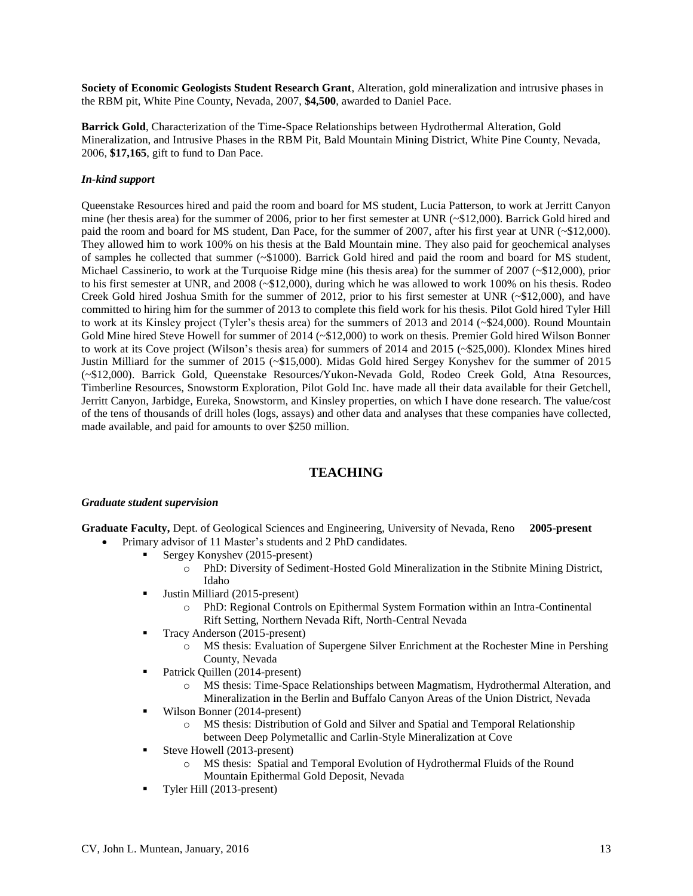**Society of Economic Geologists Student Research Grant**, Alteration, gold mineralization and intrusive phases in the RBM pit, White Pine County, Nevada, 2007, **\$4,500**, awarded to Daniel Pace.

**Barrick Gold**, Characterization of the Time-Space Relationships between Hydrothermal Alteration, Gold Mineralization, and Intrusive Phases in the RBM Pit, Bald Mountain Mining District, White Pine County, Nevada, 2006, **\$17,165**, gift to fund to Dan Pace.

# *In-kind support*

Queenstake Resources hired and paid the room and board for MS student, Lucia Patterson, to work at Jerritt Canyon mine (her thesis area) for the summer of 2006, prior to her first semester at UNR (~\$12,000). Barrick Gold hired and paid the room and board for MS student, Dan Pace, for the summer of 2007, after his first year at UNR (~\$12,000). They allowed him to work 100% on his thesis at the Bald Mountain mine. They also paid for geochemical analyses of samples he collected that summer (~\$1000). Barrick Gold hired and paid the room and board for MS student, Michael Cassinerio, to work at the Turquoise Ridge mine (his thesis area) for the summer of 2007 (~\$12,000), prior to his first semester at UNR, and 2008 (~\$12,000), during which he was allowed to work 100% on his thesis. Rodeo Creek Gold hired Joshua Smith for the summer of 2012, prior to his first semester at UNR (~\$12,000), and have committed to hiring him for the summer of 2013 to complete this field work for his thesis. Pilot Gold hired Tyler Hill to work at its Kinsley project (Tyler's thesis area) for the summers of 2013 and 2014 (~\$24,000). Round Mountain Gold Mine hired Steve Howell for summer of 2014 (~\$12,000) to work on thesis. Premier Gold hired Wilson Bonner to work at its Cove project (Wilson's thesis area) for summers of 2014 and 2015 (~\$25,000). Klondex Mines hired Justin Milliard for the summer of 2015 (~\$15,000). Midas Gold hired Sergey Konyshev for the summer of 2015 (~\$12,000). Barrick Gold, Queenstake Resources/Yukon-Nevada Gold, Rodeo Creek Gold, Atna Resources, Timberline Resources, Snowstorm Exploration, Pilot Gold Inc. have made all their data available for their Getchell, Jerritt Canyon, Jarbidge, Eureka, Snowstorm, and Kinsley properties, on which I have done research. The value/cost of the tens of thousands of drill holes (logs, assays) and other data and analyses that these companies have collected, made available, and paid for amounts to over \$250 million.

# **TEACHING**

### *Graduate student supervision*

**Graduate Faculty,** Dept. of Geological Sciences and Engineering, University of Nevada, Reno **2005-present**

- Primary advisor of 11 Master's students and 2 PhD candidates.
	- Sergey Konyshev (2015-present)
		- o PhD: Diversity of Sediment-Hosted Gold Mineralization in the Stibnite Mining District, Idaho
		- Ultim Milliard (2015-present)
			- PhD: Regional Controls on Epithermal System Formation within an Intra-Continental Rift Setting, Northern Nevada Rift, North-Central Nevada
		- Tracy Anderson (2015-present)
			- o MS thesis: Evaluation of Supergene Silver Enrichment at the Rochester Mine in Pershing County, Nevada
		- Patrick Quillen (2014-present)
			- o MS thesis: Time-Space Relationships between Magmatism, Hydrothermal Alteration, and Mineralization in the Berlin and Buffalo Canyon Areas of the Union District, Nevada
		- Wilson Bonner (2014-present)
			- o MS thesis: Distribution of Gold and Silver and Spatial and Temporal Relationship between Deep Polymetallic and Carlin-Style Mineralization at Cove
		- Steve Howell (2013-present)
			- o MS thesis: Spatial and Temporal Evolution of Hydrothermal Fluids of the Round Mountain Epithermal Gold Deposit, Nevada
		- Tyler Hill (2013-present)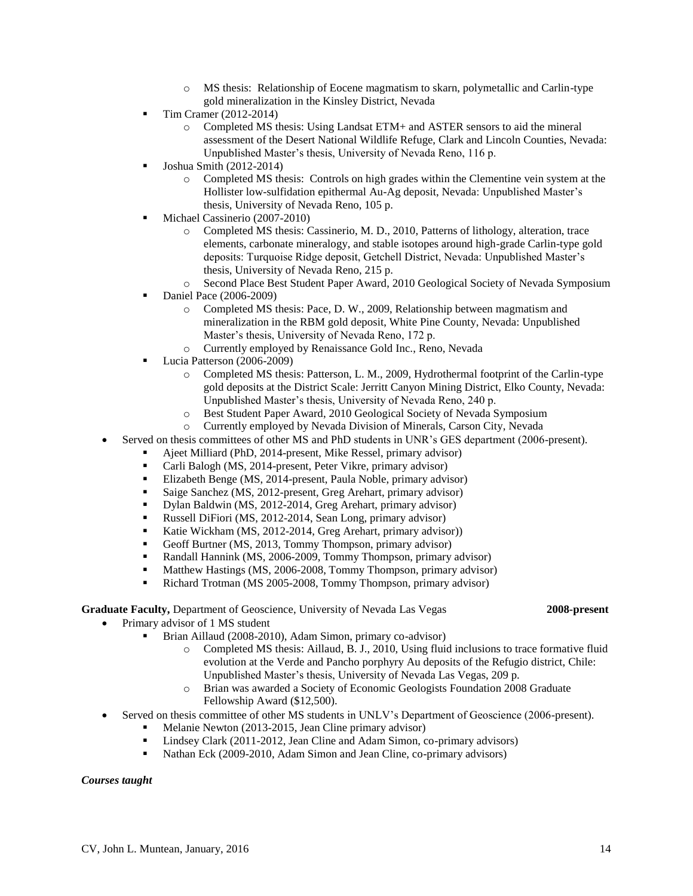- Primary advisor of 1 MS student Brian Aillaud (2008-2010), Adam Simon, primary co-advisor)
	- o Completed MS thesis: Aillaud, B. J., 2010, Using fluid inclusions to trace formative fluid evolution at the Verde and Pancho porphyry Au deposits of the Refugio district, Chile: Unpublished Master's thesis, University of Nevada Las Vegas, 209 p.
	- o Brian was awarded a Society of Economic Geologists Foundation 2008 Graduate Fellowship Award (\$12,500).
- Served on thesis committee of other MS students in UNLV's Department of Geoscience (2006-present).
	- Melanie Newton (2013-2015, Jean Cline primary advisor)
	- Lindsey Clark (2011-2012, Jean Cline and Adam Simon, co-primary advisors)
	- Nathan Eck (2009-2010, Adam Simon and Jean Cline, co-primary advisors)

#### *Courses taught*

- o MS thesis: Relationship of Eocene magmatism to skarn, polymetallic and Carlin-type gold mineralization in the Kinsley District, Nevada
- $\blacksquare$  Tim Cramer (2012-2014)
	- o Completed MS thesis: Using Landsat ETM+ and ASTER sensors to aid the mineral assessment of the Desert National Wildlife Refuge, Clark and Lincoln Counties, Nevada: Unpublished Master's thesis, University of Nevada Reno, 116 p.
- Joshua Smith (2012-2014)
	- o Completed MS thesis: Controls on high grades within the Clementine vein system at the Hollister low-sulfidation epithermal Au-Ag deposit, Nevada: Unpublished Master's thesis, University of Nevada Reno, 105 p.
- Michael Cassinerio (2007-2010)
	- o Completed MS thesis: Cassinerio, M. D., 2010, Patterns of lithology, alteration, trace elements, carbonate mineralogy, and stable isotopes around high-grade Carlin-type gold deposits: Turquoise Ridge deposit, Getchell District, Nevada: Unpublished Master's thesis, University of Nevada Reno, 215 p.
	- o Second Place Best Student Paper Award, 2010 Geological Society of Nevada Symposium
- Daniel Pace (2006-2009)
	- o Completed MS thesis: Pace, D. W., 2009, Relationship between magmatism and mineralization in the RBM gold deposit, White Pine County, Nevada: Unpublished Master's thesis, University of Nevada Reno, 172 p.
	- o Currently employed by Renaissance Gold Inc., Reno, Nevada
- Lucia Patterson (2006-2009)
	- o Completed MS thesis: Patterson, L. M., 2009, Hydrothermal footprint of the Carlin-type gold deposits at the District Scale: Jerritt Canyon Mining District, Elko County, Nevada: Unpublished Master's thesis, University of Nevada Reno, 240 p.
	- o Best Student Paper Award, 2010 Geological Society of Nevada Symposium
	- o Currently employed by Nevada Division of Minerals, Carson City, Nevada
- Served on thesis committees of other MS and PhD students in UNR's GES department (2006-present).
	- Ajeet Milliard (PhD, 2014-present, Mike Ressel, primary advisor)
	- Carli Balogh (MS, 2014-present, Peter Vikre, primary advisor)
	- Elizabeth Benge (MS, 2014-present, Paula Noble, primary advisor)
	- Saige Sanchez (MS, 2012-present, Greg Arehart, primary advisor)
	- Dylan Baldwin (MS, 2012-2014, Greg Arehart, primary advisor)
	- Russell DiFiori (MS, 2012-2014, Sean Long, primary advisor)
	- Katie Wickham (MS, 2012-2014, Greg Arehart, primary advisor))
	- Geoff Burtner (MS, 2013, Tommy Thompson, primary advisor)
	- Randall Hannink (MS, 2006-2009, Tommy Thompson, primary advisor)
	- **Matthew Hastings (MS, 2006-2008, Tommy Thompson, primary advisor)**
	- Richard Trotman (MS 2005-2008, Tommy Thompson, primary advisor)

## **Graduate Faculty,** Department of Geoscience, University of Nevada Las Vegas **2008-present**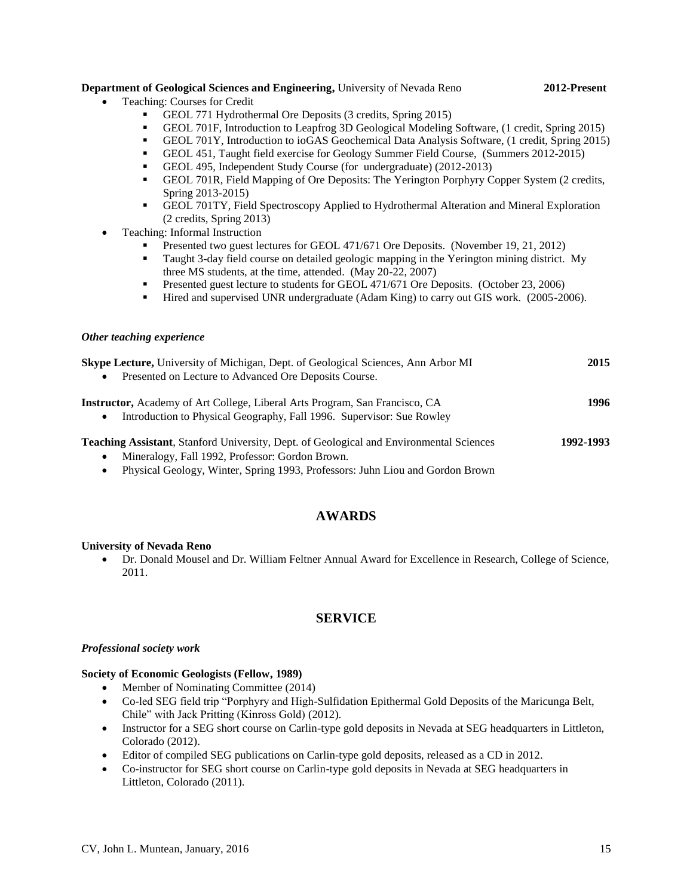# **Department of Geological Sciences and Engineering,** University of Nevada Reno **2012-Present**

- Teaching: Courses for Credit
	- GEOL 771 Hydrothermal Ore Deposits (3 credits, Spring 2015)
	- GEOL 701F, Introduction to Leapfrog 3D Geological Modeling Software, (1 credit, Spring 2015)
	- GEOL 701Y, Introduction to ioGAS Geochemical Data Analysis Software, (1 credit, Spring 2015)
	- GEOL 451, Taught field exercise for Geology Summer Field Course, (Summers 2012-2015)
	- GEOL 495, Independent Study Course (for undergraduate) (2012-2013)
	- GEOL 701R, Field Mapping of Ore Deposits: The Yerington Porphyry Copper System (2 credits, Spring 2013-2015)
	- GEOL 701TY, Field Spectroscopy Applied to Hydrothermal Alteration and Mineral Exploration (2 credits, Spring 2013)
- Teaching: Informal Instruction
	- Presented two guest lectures for GEOL 471/671 Ore Deposits. (November 19, 21, 2012)
	- Taught 3-day field course on detailed geologic mapping in the Yerington mining district. My three MS students, at the time, attended. (May 20-22, 2007)
	- **Presented guest lecture to students for GEOL 471/671 Ore Deposits. (October 23, 2006)**
	- Hired and supervised UNR undergraduate (Adam King) to carry out GIS work. (2005-2006).

#### *Other teaching experience*

| <b>Skype Lecture, University of Michigan, Dept. of Geological Sciences, Ann Arbor MI</b><br>Presented on Lecture to Advanced Ore Deposits Course.<br>$\bullet$                             | 2015      |
|--------------------------------------------------------------------------------------------------------------------------------------------------------------------------------------------|-----------|
| <b>Instructor,</b> Academy of Art College, Liberal Arts Program, San Francisco, CA<br>Introduction to Physical Geography, Fall 1996. Supervisor: Sue Rowley<br>$\bullet$                   | 1996      |
| <b>Teaching Assistant, Stanford University, Dept. of Geological and Environmental Sciences</b><br>Mineralogy, Fall 1992, Professor: Gordon Brown.<br>$\bullet$<br>ת ומיד יות מממוי מידי ות | 1992-1993 |

Physical Geology, Winter, Spring 1993, Professors: Juhn Liou and Gordon Brown

# **AWARDS**

#### **University of Nevada Reno**

 Dr. Donald Mousel and Dr. William Feltner Annual Award for Excellence in Research, College of Science, 2011.

# **SERVICE**

#### *Professional society work*

#### **Society of Economic Geologists (Fellow, 1989)**

- Member of Nominating Committee (2014)
- Co-led SEG field trip "Porphyry and High-Sulfidation Epithermal Gold Deposits of the Maricunga Belt, Chile" with Jack Pritting (Kinross Gold) (2012).
- Instructor for a SEG short course on Carlin-type gold deposits in Nevada at SEG headquarters in Littleton, Colorado (2012).
- Editor of compiled SEG publications on Carlin-type gold deposits, released as a CD in 2012.
- Co-instructor for SEG short course on Carlin-type gold deposits in Nevada at SEG headquarters in Littleton, Colorado (2011).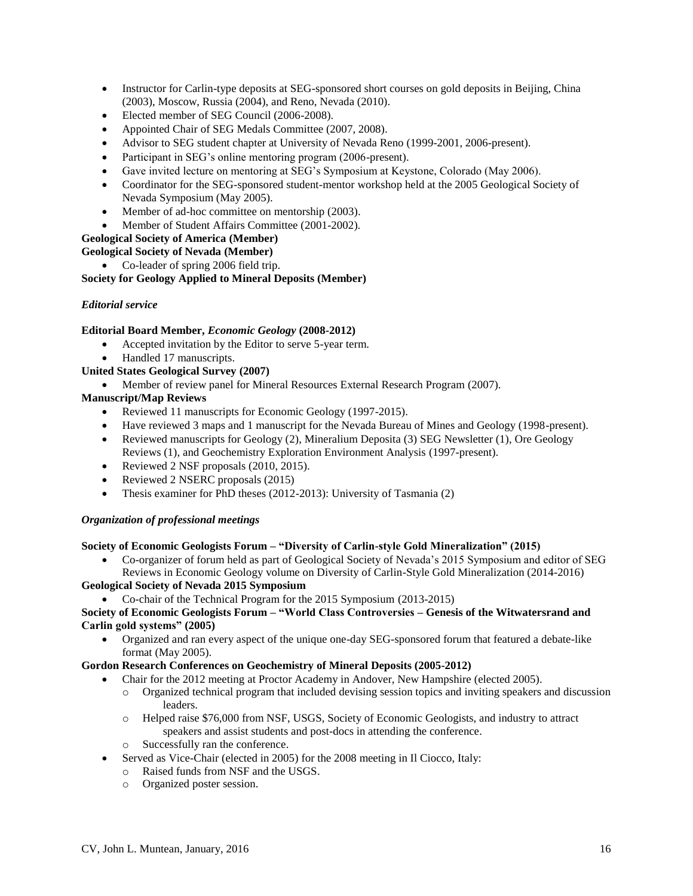- Instructor for Carlin-type deposits at SEG-sponsored short courses on gold deposits in Beijing, China (2003), Moscow, Russia (2004), and Reno, Nevada (2010).
- Elected member of SEG Council (2006-2008).
- Appointed Chair of SEG Medals Committee (2007, 2008).
- Advisor to SEG student chapter at University of Nevada Reno (1999-2001, 2006-present).
- Participant in SEG's online mentoring program (2006-present).
- Gave invited lecture on mentoring at SEG's Symposium at Keystone, Colorado (May 2006).
- Coordinator for the SEG-sponsored student-mentor workshop held at the 2005 Geological Society of Nevada Symposium (May 2005).
- Member of ad-hoc committee on mentorship (2003).
- Member of Student Affairs Committee (2001-2002).

# **Geological Society of America (Member)**

**Geological Society of Nevada (Member)**

• Co-leader of spring 2006 field trip.

# **Society for Geology Applied to Mineral Deposits (Member)**

# *Editorial service*

# **Editorial Board Member,** *Economic Geology* **(2008-2012)**

- Accepted invitation by the Editor to serve 5-year term.
- Handled 17 manuscripts.
- **United States Geological Survey (2007)**
	- Member of review panel for Mineral Resources External Research Program (2007).

# **Manuscript/Map Reviews**

- Reviewed 11 manuscripts for Economic Geology (1997-2015).
- Have reviewed 3 maps and 1 manuscript for the Nevada Bureau of Mines and Geology (1998-present).
- Reviewed manuscripts for Geology (2), Mineralium Deposita (3) SEG Newsletter (1), Ore Geology Reviews (1), and Geochemistry Exploration Environment Analysis (1997-present).
- Reviewed 2 NSF proposals (2010, 2015).
- Reviewed 2 NSERC proposals (2015)
- Thesis examiner for PhD theses (2012-2013): University of Tasmania (2)

# *Organization of professional meetings*

# **Society of Economic Geologists Forum – "Diversity of Carlin-style Gold Mineralization" (2015)**

 Co-organizer of forum held as part of Geological Society of Nevada's 2015 Symposium and editor of SEG Reviews in Economic Geology volume on Diversity of Carlin-Style Gold Mineralization (2014-2016)

# **Geological Society of Nevada 2015 Symposium**

Co-chair of the Technical Program for the 2015 Symposium (2013-2015)

## **Society of Economic Geologists Forum – "World Class Controversies – Genesis of the Witwatersrand and Carlin gold systems" (2005)**

 Organized and ran every aspect of the unique one-day SEG-sponsored forum that featured a debate-like format (May 2005).

# **Gordon Research Conferences on Geochemistry of Mineral Deposits (2005-2012)**

- Chair for the 2012 meeting at Proctor Academy in Andover, New Hampshire (elected 2005).
	- o Organized technical program that included devising session topics and inviting speakers and discussion leaders.
	- o Helped raise \$76,000 from NSF, USGS, Society of Economic Geologists, and industry to attract speakers and assist students and post-docs in attending the conference.
	- o Successfully ran the conference.
- Served as Vice-Chair (elected in 2005) for the 2008 meeting in Il Ciocco, Italy:
	- o Raised funds from NSF and the USGS.
	- o Organized poster session.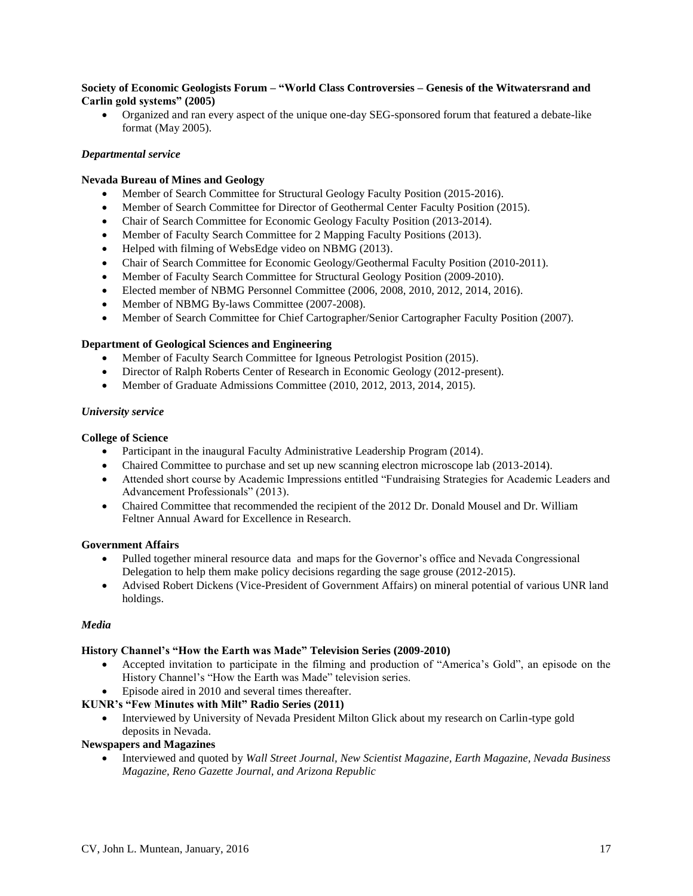# **Society of Economic Geologists Forum – "World Class Controversies – Genesis of the Witwatersrand and Carlin gold systems" (2005)**

 Organized and ran every aspect of the unique one-day SEG-sponsored forum that featured a debate-like format (May 2005).

# *Departmental service*

# **Nevada Bureau of Mines and Geology**

- Member of Search Committee for Structural Geology Faculty Position (2015-2016).
- Member of Search Committee for Director of Geothermal Center Faculty Position (2015).
- Chair of Search Committee for Economic Geology Faculty Position (2013-2014).
- Member of Faculty Search Committee for 2 Mapping Faculty Positions (2013).
- Helped with filming of WebsEdge video on NBMG (2013).
- Chair of Search Committee for Economic Geology/Geothermal Faculty Position (2010-2011).
- Member of Faculty Search Committee for Structural Geology Position (2009-2010).
- Elected member of NBMG Personnel Committee (2006, 2008, 2010, 2012, 2014, 2016).
- Member of NBMG By-laws Committee (2007-2008).
- Member of Search Committee for Chief Cartographer/Senior Cartographer Faculty Position (2007).

# **Department of Geological Sciences and Engineering**

- Member of Faculty Search Committee for Igneous Petrologist Position (2015).
- Director of Ralph Roberts Center of Research in Economic Geology (2012-present).
- Member of Graduate Admissions Committee (2010, 2012, 2013, 2014, 2015).

# *University service*

# **College of Science**

- Participant in the inaugural Faculty Administrative Leadership Program (2014).
- Chaired Committee to purchase and set up new scanning electron microscope lab (2013-2014).
- Attended short course by Academic Impressions entitled "Fundraising Strategies for Academic Leaders and Advancement Professionals" (2013).
- Chaired Committee that recommended the recipient of the 2012 Dr. Donald Mousel and Dr. William Feltner Annual Award for Excellence in Research.

# **Government Affairs**

- Pulled together mineral resource data and maps for the Governor's office and Nevada Congressional Delegation to help them make policy decisions regarding the sage grouse (2012-2015).
- Advised Robert Dickens (Vice-President of Government Affairs) on mineral potential of various UNR land holdings.

# *Media*

# **History Channel's "How the Earth was Made" Television Series (2009-2010)**

 Accepted invitation to participate in the filming and production of "America's Gold", an episode on the History Channel's "How the Earth was Made" television series.

# Episode aired in 2010 and several times thereafter.

# **KUNR's "Few Minutes with Milt" Radio Series (2011)**

 Interviewed by University of Nevada President Milton Glick about my research on Carlin-type gold deposits in Nevada.

# **Newspapers and Magazines**

 Interviewed and quoted by *Wall Street Journal, New Scientist Magazine, Earth Magazine, Nevada Business Magazine, Reno Gazette Journal, and Arizona Republic*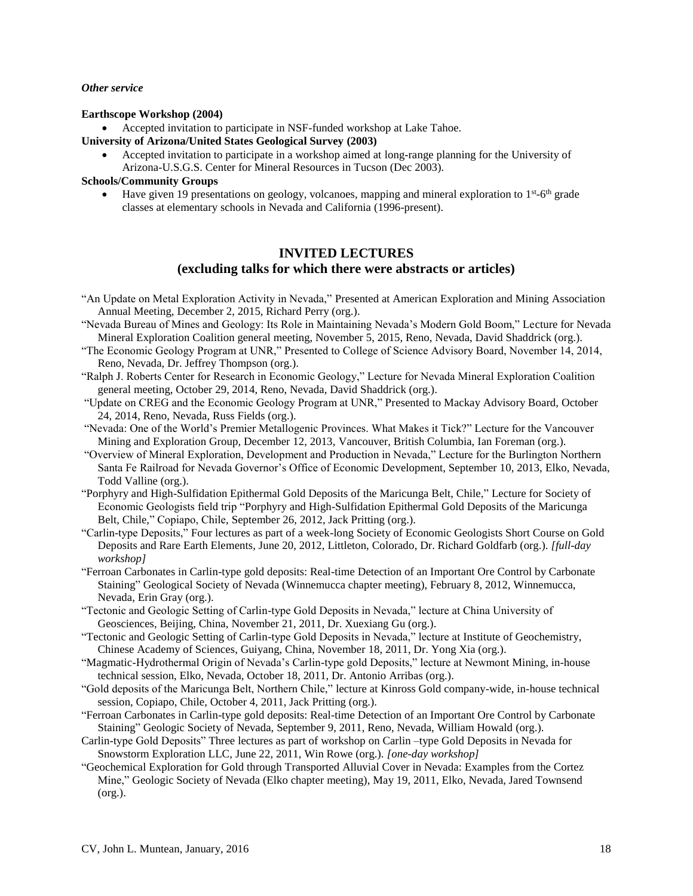### *Other service*

### **Earthscope Workshop (2004)**

Accepted invitation to participate in NSF-funded workshop at Lake Tahoe.

- **University of Arizona/United States Geological Survey (2003)**
	- Accepted invitation to participate in a workshop aimed at long-range planning for the University of Arizona-U.S.G.S. Center for Mineral Resources in Tucson (Dec 2003).

# **Schools/Community Groups**

• Have given 19 presentations on geology, volcanoes, mapping and mineral exploration to  $1<sup>st</sup>$ -6<sup>th</sup> grade classes at elementary schools in Nevada and California (1996-present).

# **INVITED LECTURES (excluding talks for which there were abstracts or articles)**

- "An Update on Metal Exploration Activity in Nevada," Presented at American Exploration and Mining Association Annual Meeting, December 2, 2015, Richard Perry (org.).
- "Nevada Bureau of Mines and Geology: Its Role in Maintaining Nevada's Modern Gold Boom," Lecture for Nevada Mineral Exploration Coalition general meeting, November 5, 2015, Reno, Nevada, David Shaddrick (org.).
- "The Economic Geology Program at UNR," Presented to College of Science Advisory Board, November 14, 2014, Reno, Nevada, Dr. Jeffrey Thompson (org.).
- "Ralph J. Roberts Center for Research in Economic Geology," Lecture for Nevada Mineral Exploration Coalition general meeting, October 29, 2014, Reno, Nevada, David Shaddrick (org.).
- "Update on CREG and the Economic Geology Program at UNR," Presented to Mackay Advisory Board, October 24, 2014, Reno, Nevada, Russ Fields (org.).
- "Nevada: One of the World's Premier Metallogenic Provinces. What Makes it Tick?" Lecture for the Vancouver Mining and Exploration Group, December 12, 2013, Vancouver, British Columbia, Ian Foreman (org.).
- "Overview of Mineral Exploration, Development and Production in Nevada," Lecture for the Burlington Northern Santa Fe Railroad for Nevada Governor's Office of Economic Development, September 10, 2013, Elko, Nevada, Todd Valline (org.).
- "Porphyry and High-Sulfidation Epithermal Gold Deposits of the Maricunga Belt, Chile," Lecture for Society of Economic Geologists field trip "Porphyry and High-Sulfidation Epithermal Gold Deposits of the Maricunga Belt, Chile," Copiapo, Chile, September 26, 2012, Jack Pritting (org.).
- "Carlin-type Deposits," Four lectures as part of a week-long Society of Economic Geologists Short Course on Gold Deposits and Rare Earth Elements, June 20, 2012, Littleton, Colorado, Dr. Richard Goldfarb (org.). *[full-day workshop]*
- "Ferroan Carbonates in Carlin-type gold deposits: Real-time Detection of an Important Ore Control by Carbonate Staining" Geological Society of Nevada (Winnemucca chapter meeting), February 8, 2012, Winnemucca, Nevada, Erin Gray (org.).
- "Tectonic and Geologic Setting of Carlin-type Gold Deposits in Nevada," lecture at China University of Geosciences, Beijing, China, November 21, 2011, Dr. Xuexiang Gu (org.).
- "Tectonic and Geologic Setting of Carlin-type Gold Deposits in Nevada," lecture at Institute of Geochemistry, Chinese Academy of Sciences, Guiyang, China, November 18, 2011, Dr. Yong Xia (org.).
- "Magmatic-Hydrothermal Origin of Nevada's Carlin-type gold Deposits," lecture at Newmont Mining, in-house technical session, Elko, Nevada, October 18, 2011, Dr. Antonio Arribas (org.).
- "Gold deposits of the Maricunga Belt, Northern Chile," lecture at Kinross Gold company-wide, in-house technical session, Copiapo, Chile, October 4, 2011, Jack Pritting (org.).
- "Ferroan Carbonates in Carlin-type gold deposits: Real-time Detection of an Important Ore Control by Carbonate Staining" Geologic Society of Nevada, September 9, 2011, Reno, Nevada, William Howald (org.).
- Carlin-type Gold Deposits" Three lectures as part of workshop on Carlin –type Gold Deposits in Nevada for Snowstorm Exploration LLC, June 22, 2011, Win Rowe (org.). *[one-day workshop]*
- "Geochemical Exploration for Gold through Transported Alluvial Cover in Nevada: Examples from the Cortez Mine," Geologic Society of Nevada (Elko chapter meeting), May 19, 2011, Elko, Nevada, Jared Townsend (org.).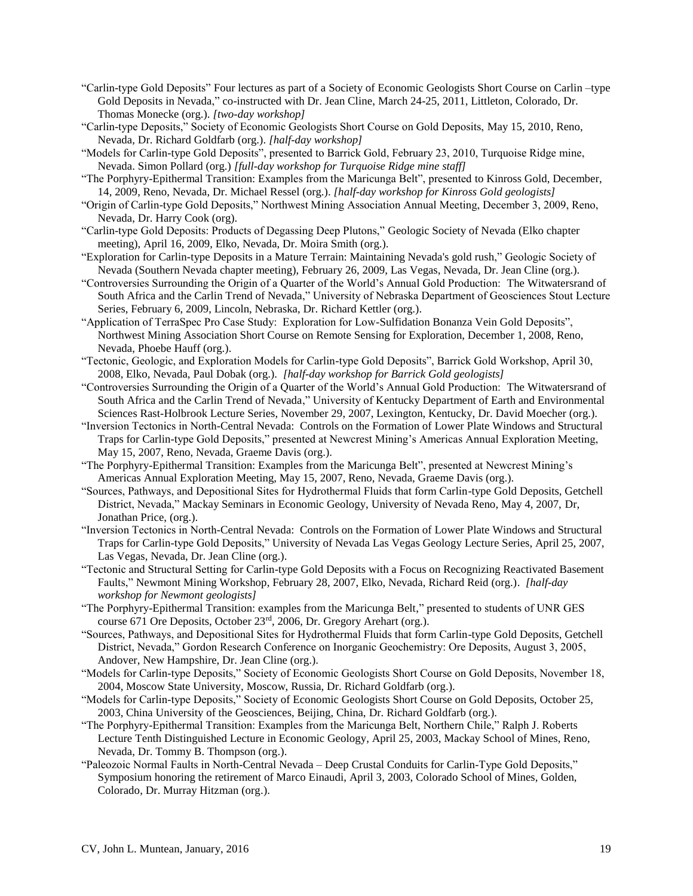- "Carlin-type Gold Deposits" Four lectures as part of a Society of Economic Geologists Short Course on Carlin –type Gold Deposits in Nevada," co-instructed with Dr. Jean Cline, March 24-25, 2011, Littleton, Colorado, Dr. Thomas Monecke (org.). *[two-day workshop]*
- "Carlin-type Deposits," Society of Economic Geologists Short Course on Gold Deposits, May 15, 2010, Reno, Nevada, Dr. Richard Goldfarb (org.). *[half-day workshop]*
- "Models for Carlin-type Gold Deposits", presented to Barrick Gold, February 23, 2010, Turquoise Ridge mine, Nevada. Simon Pollard (org.) *[full-day workshop for Turquoise Ridge mine staff]*
- "The Porphyry-Epithermal Transition: Examples from the Maricunga Belt", presented to Kinross Gold, December, 14, 2009, Reno, Nevada, Dr. Michael Ressel (org.). *[half-day workshop for Kinross Gold geologists]*
- "Origin of Carlin-type Gold Deposits," Northwest Mining Association Annual Meeting, December 3, 2009, Reno, Nevada, Dr. Harry Cook (org).
- "Carlin-type Gold Deposits: Products of Degassing Deep Plutons," Geologic Society of Nevada (Elko chapter meeting), April 16, 2009, Elko, Nevada, Dr. Moira Smith (org.).
- "Exploration for Carlin-type Deposits in a Mature Terrain: Maintaining Nevada's gold rush," Geologic Society of Nevada (Southern Nevada chapter meeting), February 26, 2009, Las Vegas, Nevada, Dr. Jean Cline (org.).
- "Controversies Surrounding the Origin of a Quarter of the World's Annual Gold Production: The Witwatersrand of South Africa and the Carlin Trend of Nevada," University of Nebraska Department of Geosciences Stout Lecture Series, February 6, 2009, Lincoln, Nebraska, Dr. Richard Kettler (org.).
- "Application of TerraSpec Pro Case Study: Exploration for Low-Sulfidation Bonanza Vein Gold Deposits", Northwest Mining Association Short Course on Remote Sensing for Exploration, December 1, 2008, Reno, Nevada, Phoebe Hauff (org.).
- "Tectonic, Geologic, and Exploration Models for Carlin-type Gold Deposits", Barrick Gold Workshop, April 30, 2008, Elko, Nevada, Paul Dobak (org.). *[half-day workshop for Barrick Gold geologists]*
- "Controversies Surrounding the Origin of a Quarter of the World's Annual Gold Production: The Witwatersrand of South Africa and the Carlin Trend of Nevada," University of Kentucky Department of Earth and Environmental Sciences Rast-Holbrook Lecture Series, November 29, 2007, Lexington, Kentucky, Dr. David Moecher (org.).
- "Inversion Tectonics in North-Central Nevada: Controls on the Formation of Lower Plate Windows and Structural Traps for Carlin-type Gold Deposits," presented at Newcrest Mining's Americas Annual Exploration Meeting, May 15, 2007, Reno, Nevada, Graeme Davis (org.).
- "The Porphyry-Epithermal Transition: Examples from the Maricunga Belt", presented at Newcrest Mining's Americas Annual Exploration Meeting, May 15, 2007, Reno, Nevada, Graeme Davis (org.).
- "Sources, Pathways, and Depositional Sites for Hydrothermal Fluids that form Carlin-type Gold Deposits, Getchell District, Nevada," Mackay Seminars in Economic Geology, University of Nevada Reno, May 4, 2007, Dr, Jonathan Price, (org.).
- "Inversion Tectonics in North-Central Nevada: Controls on the Formation of Lower Plate Windows and Structural Traps for Carlin-type Gold Deposits," University of Nevada Las Vegas Geology Lecture Series, April 25, 2007, Las Vegas, Nevada, Dr. Jean Cline (org.).
- "Tectonic and Structural Setting for Carlin-type Gold Deposits with a Focus on Recognizing Reactivated Basement Faults," Newmont Mining Workshop, February 28, 2007, Elko, Nevada, Richard Reid (org.). *[half-day workshop for Newmont geologists]*
- "The Porphyry-Epithermal Transition: examples from the Maricunga Belt," presented to students of UNR GES course 671 Ore Deposits, October 23rd, 2006, Dr. Gregory Arehart (org.).
- "Sources, Pathways, and Depositional Sites for Hydrothermal Fluids that form Carlin-type Gold Deposits, Getchell District, Nevada," Gordon Research Conference on Inorganic Geochemistry: Ore Deposits, August 3, 2005, Andover, New Hampshire, Dr. Jean Cline (org.).
- "Models for Carlin-type Deposits," Society of Economic Geologists Short Course on Gold Deposits, November 18, 2004, Moscow State University, Moscow, Russia, Dr. Richard Goldfarb (org.).
- "Models for Carlin-type Deposits," Society of Economic Geologists Short Course on Gold Deposits, October 25, 2003, China University of the Geosciences, Beijing, China, Dr. Richard Goldfarb (org.).
- "The Porphyry-Epithermal Transition: Examples from the Maricunga Belt, Northern Chile," Ralph J. Roberts Lecture Tenth Distinguished Lecture in Economic Geology, April 25, 2003, Mackay School of Mines, Reno, Nevada, Dr. Tommy B. Thompson (org.).
- "Paleozoic Normal Faults in North-Central Nevada Deep Crustal Conduits for Carlin-Type Gold Deposits," Symposium honoring the retirement of Marco Einaudi, April 3, 2003, Colorado School of Mines, Golden, Colorado, Dr. Murray Hitzman (org.).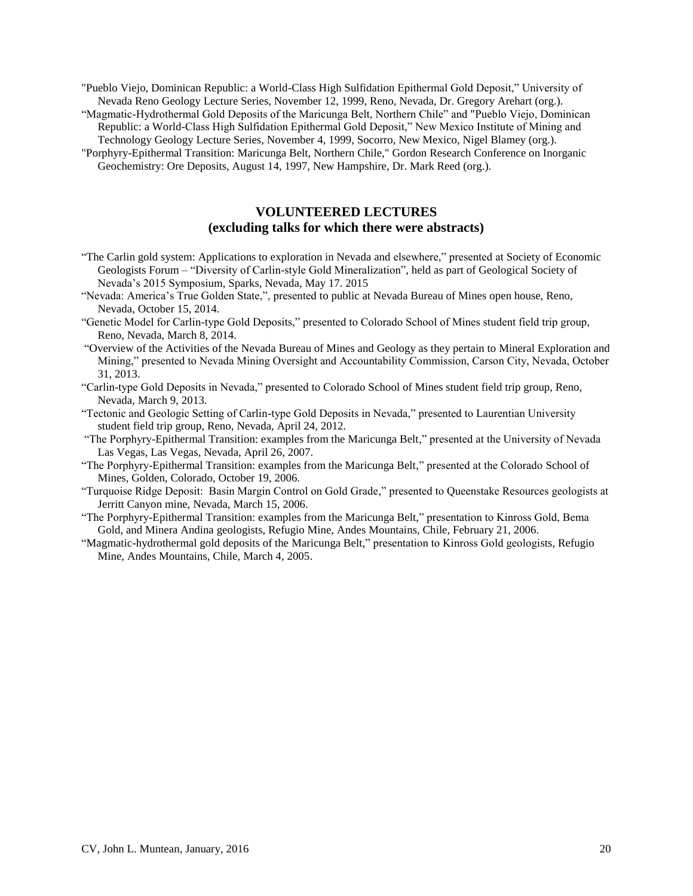"Pueblo Viejo, Dominican Republic: a World-Class High Sulfidation Epithermal Gold Deposit," University of Nevada Reno Geology Lecture Series, November 12, 1999, Reno, Nevada, Dr. Gregory Arehart (org.).

"Magmatic-Hydrothermal Gold Deposits of the Maricunga Belt, Northern Chile" and "Pueblo Viejo, Dominican Republic: a World-Class High Sulfidation Epithermal Gold Deposit," New Mexico Institute of Mining and

Technology Geology Lecture Series, November 4, 1999, Socorro, New Mexico, Nigel Blamey (org.).

"Porphyry-Epithermal Transition: Maricunga Belt, Northern Chile," Gordon Research Conference on Inorganic Geochemistry: Ore Deposits, August 14, 1997, New Hampshire, Dr. Mark Reed (org.).

# **VOLUNTEERED LECTURES (excluding talks for which there were abstracts)**

- "The Carlin gold system: Applications to exploration in Nevada and elsewhere," presented at Society of Economic Geologists Forum – "Diversity of Carlin-style Gold Mineralization", held as part of Geological Society of Nevada's 2015 Symposium, Sparks, Nevada, May 17. 2015
- "Nevada: America's True Golden State,", presented to public at Nevada Bureau of Mines open house, Reno, Nevada, October 15, 2014.
- "Genetic Model for Carlin-type Gold Deposits," presented to Colorado School of Mines student field trip group, Reno, Nevada, March 8, 2014.
- "Overview of the Activities of the Nevada Bureau of Mines and Geology as they pertain to Mineral Exploration and Mining," presented to Nevada Mining Oversight and Accountability Commission, Carson City, Nevada, October 31, 2013.
- "Carlin-type Gold Deposits in Nevada," presented to Colorado School of Mines student field trip group, Reno, Nevada, March 9, 2013.
- "Tectonic and Geologic Setting of Carlin-type Gold Deposits in Nevada," presented to Laurentian University student field trip group, Reno, Nevada, April 24, 2012.
- "The Porphyry-Epithermal Transition: examples from the Maricunga Belt," presented at the University of Nevada Las Vegas, Las Vegas, Nevada, April 26, 2007.
- "The Porphyry-Epithermal Transition: examples from the Maricunga Belt," presented at the Colorado School of Mines, Golden, Colorado, October 19, 2006.
- "Turquoise Ridge Deposit: Basin Margin Control on Gold Grade," presented to Queenstake Resources geologists at Jerritt Canyon mine, Nevada, March 15, 2006.
- "The Porphyry-Epithermal Transition: examples from the Maricunga Belt," presentation to Kinross Gold, Bema Gold, and Minera Andina geologists, Refugio Mine, Andes Mountains, Chile, February 21, 2006.
- "Magmatic-hydrothermal gold deposits of the Maricunga Belt," presentation to Kinross Gold geologists, Refugio Mine, Andes Mountains, Chile, March 4, 2005.